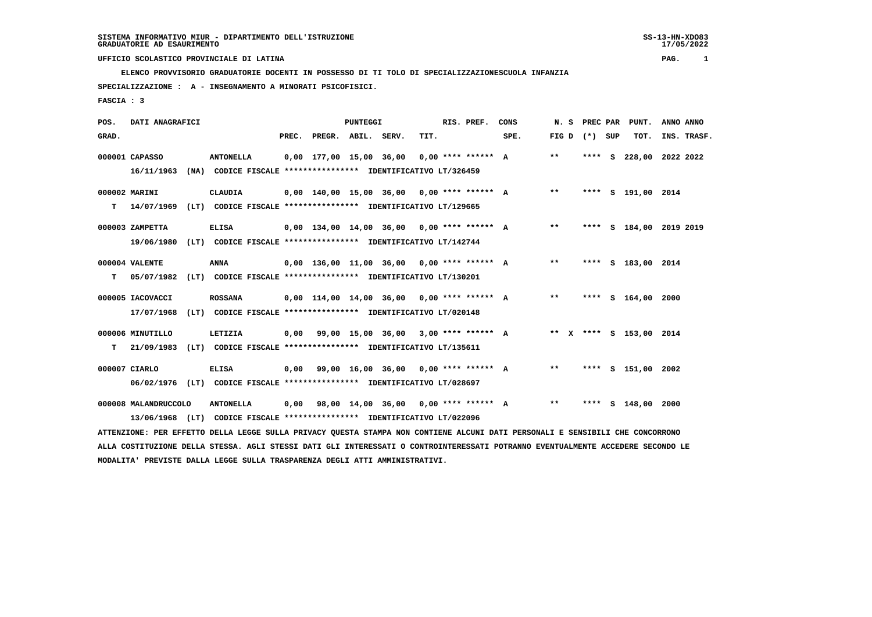**ELENCO PROVVISORIO GRADUATORIE DOCENTI IN POSSESSO DI TI TOLO DI SPECIALIZZAZIONESCUOLA INFANZIA**

 **SPECIALIZZAZIONE : A - INSEGNAMENTO A MINORATI PSICOFISICI.**

 **FASCIA : 3**

| POS.  | DATI ANAGRAFICI      |      |                                                                          |       |                                              | <b>PUNTEGGI</b> |      | RIS. PREF. | CONS                                         | N.S   |                 |          | PREC PAR PUNT.          | ANNO ANNO   |  |
|-------|----------------------|------|--------------------------------------------------------------------------|-------|----------------------------------------------|-----------------|------|------------|----------------------------------------------|-------|-----------------|----------|-------------------------|-------------|--|
| GRAD. |                      |      |                                                                          | PREC. | PREGR. ABIL. SERV.                           |                 | TIT. |            | SPE.                                         |       | FIG D $(*)$ SUP |          | TOT.                    | INS. TRASF. |  |
|       | 000001 CAPASSO       |      | <b>ANTONELLA</b>                                                         |       | $0.00$ 177.00 15.00 36.00 0.00 **** ****** A |                 |      |            |                                              | $**$  | ****            | <b>S</b> | 228,00 2022 2022        |             |  |
|       | 16/11/1963           |      | (NA) CODICE FISCALE **************** IDENTIFICATIVO LT/326459            |       |                                              |                 |      |            |                                              |       |                 |          |                         |             |  |
|       | 000002 MARINI        |      | CLAUDIA                                                                  |       |                                              |                 |      |            | 0,00 140,00 15,00 36,00  0,00 **** ******  A | $* *$ |                 |          | **** S 191,00 2014      |             |  |
| т     |                      |      | 14/07/1969 (LT) CODICE FISCALE **************** IDENTIFICATIVO LT/129665 |       |                                              |                 |      |            |                                              |       |                 |          |                         |             |  |
|       | 000003 ZAMPETTA      |      | <b>ELISA</b>                                                             |       | 0,00 134,00 14,00 36,00 0,00 **** ****** A   |                 |      |            |                                              | $***$ |                 |          | **** S 184,00 2019 2019 |             |  |
|       | 19/06/1980           |      | (LT) CODICE FISCALE **************** IDENTIFICATIVO LT/142744            |       |                                              |                 |      |            |                                              |       |                 |          |                         |             |  |
|       | 000004 VALENTE       |      | ANNA                                                                     |       | $0,00$ 136,00 11,00 36,00 0,00 **** ****** A |                 |      |            |                                              | $* *$ |                 |          | **** S 183,00 2014      |             |  |
| т     | 05/07/1982           |      | (LT) CODICE FISCALE **************** IDENTIFICATIVO LT/130201            |       |                                              |                 |      |            |                                              |       |                 |          |                         |             |  |
|       | 000005 IACOVACCI     |      | <b>ROSSANA</b>                                                           |       | $0,00$ 114,00 14,00 36,00 0,00 **** ****** A |                 |      |            |                                              | $***$ |                 |          | **** S 164,00 2000      |             |  |
|       | 17/07/1968           |      | (LT) CODICE FISCALE **************** IDENTIFICATIVO LT/020148            |       |                                              |                 |      |            |                                              |       |                 |          |                         |             |  |
|       | 000006 MINUTILLO     |      | LETIZIA                                                                  |       |                                              |                 |      |            | 0,00 99,00 15,00 36,00 3,00 **** ****** A    |       |                 |          | ** X **** S 153,00 2014 |             |  |
| T.    | 21/09/1983           |      | (LT) CODICE FISCALE **************** IDENTIFICATIVO LT/135611            |       |                                              |                 |      |            |                                              |       |                 |          |                         |             |  |
|       | 000007 CIARLO        |      | <b>ELISA</b>                                                             |       | $0,00$ 99,00 16,00 36,00 0,00 **** ****** A  |                 |      |            |                                              | $***$ |                 |          | **** S 151,00 2002      |             |  |
|       | 06/02/1976           | (LT) | CODICE FISCALE **************** IDENTIFICATIVO LT/028697                 |       |                                              |                 |      |            |                                              |       |                 |          |                         |             |  |
|       | 000008 MALANDRUCCOLO |      | <b>ANTONELLA</b>                                                         |       | $0,00$ 98,00 14,00 36,00 0,00 **** ****** A  |                 |      |            |                                              | $* *$ |                 |          | **** $S$ 148,00         | 2000        |  |

 **13/06/1968 (LT) CODICE FISCALE \*\*\*\*\*\*\*\*\*\*\*\*\*\*\*\* IDENTIFICATIVO LT/022096**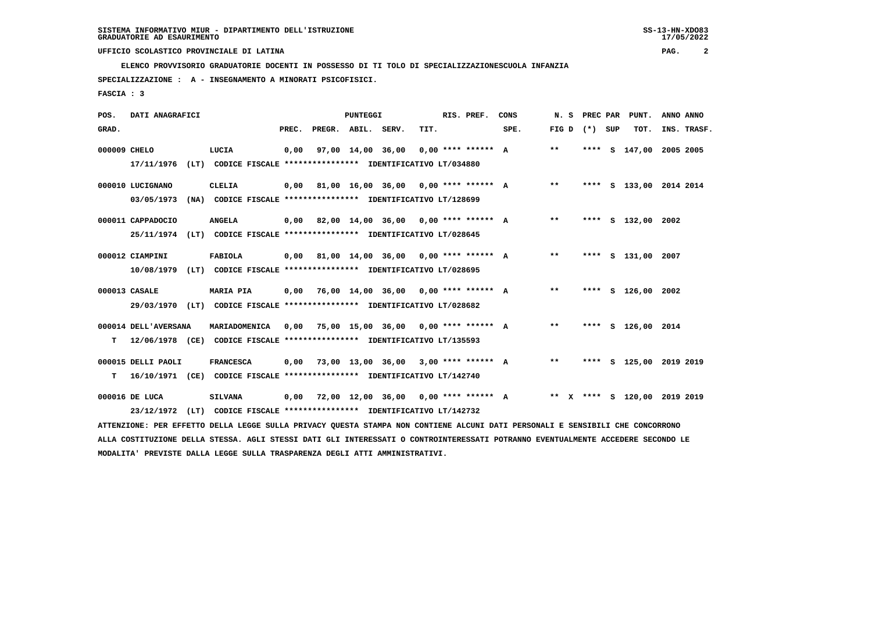**ELENCO PROVVISORIO GRADUATORIE DOCENTI IN POSSESSO DI TI TOLO DI SPECIALIZZAZIONESCUOLA INFANZIA**

 **SPECIALIZZAZIONE : A - INSEGNAMENTO A MINORATI PSICOFISICI.**

 **FASCIA : 3**

| POS.         | DATI ANAGRAFICI                |                                                                                                                                                                                                                             |       |                    | <b>PUNTEGGI</b> |                                             |      | RIS. PREF. | CONS                                      | N.S             |  | PREC PAR PUNT.               | ANNO ANNO |             |
|--------------|--------------------------------|-----------------------------------------------------------------------------------------------------------------------------------------------------------------------------------------------------------------------------|-------|--------------------|-----------------|---------------------------------------------|------|------------|-------------------------------------------|-----------------|--|------------------------------|-----------|-------------|
| GRAD.        |                                |                                                                                                                                                                                                                             | PREC. | PREGR. ABIL. SERV. |                 |                                             | TIT. |            | SPE.                                      | FIG D $(*)$ SUP |  | тот.                         |           | INS. TRASF. |
| 000009 CHELO | 17/11/1976                     | LUCIA<br>(LT) CODICE FISCALE **************** IDENTIFICATIVO LT/034880                                                                                                                                                      | 0,00  |                    |                 | 97,00 14,00 36,00 0,00 **** ****** A        |      |            |                                           | $***$           |  | **** S 147,00 2005 2005      |           |             |
|              | 000010 LUCIGNANO<br>03/05/1973 | CLELIA<br>(NA) CODICE FISCALE **************** IDENTIFICATIVO LT/128699                                                                                                                                                     |       |                    |                 |                                             |      |            | 0,00 81,00 16,00 36,00 0,00 **** ****** A | $***$           |  | **** S 133,00 2014 2014      |           |             |
|              | 000011 CAPPADOCIO              | <b>ANGELA</b><br>25/11/1974 (LT) CODICE FISCALE *************** IDENTIFICATIVO LT/028645                                                                                                                                    |       |                    |                 |                                             |      |            | 0,00 82,00 14,00 36,00 0,00 **** ****** A | $***$           |  | **** S 132,00 2002           |           |             |
|              | 000012 CIAMPINI<br>10/08/1979  | FABIOLA<br>(LT) CODICE FISCALE **************** IDENTIFICATIVO LT/028695                                                                                                                                                    |       |                    |                 | $0,00$ 81,00 14,00 36,00 0,00 **** ****** A |      |            |                                           | $***$           |  | **** S 131,00 2007           |           |             |
|              | 000013 CASALE                  | <b>MARIA PIA</b><br>29/03/1970 (LT) CODICE FISCALE *************** IDENTIFICATIVO LT/028682                                                                                                                                 |       |                    |                 | $0,00$ 76,00 14,00 36,00 0,00 **** ****** A |      |            |                                           | $**$            |  | **** S 126,00 2002           |           |             |
| т            | 000014 DELL'AVERSANA           | MARIADOMENICA<br>12/06/1978 (CE) CODICE FISCALE **************** IDENTIFICATIVO LT/135593                                                                                                                                   | 0,00  |                    |                 | 75,00 15,00 36,00 0,00 **** ****** A        |      |            |                                           | $***$           |  | **** S 126,00 2014           |           |             |
| т            | 000015 DELLI PAOLI             | <b>FRANCESCA</b><br>16/10/1971 (CE) CODICE FISCALE **************** IDENTIFICATIVO LT/142740                                                                                                                                | 0,00  |                    |                 | 73,00 13,00 36,00 3,00 **** ****** A        |      |            |                                           | $***$           |  | **** S 125,00 2019 2019      |           |             |
|              | 000016 DE LUCA                 | <b>SILVANA</b><br>23/12/1972 (LT) CODICE FISCALE **************** IDENTIFICATIVO LT/142732<br>ATTENZIONE: PER EFFETTO DELLA LEGGE SULLA PRIVACY QUESTA STAMPA NON CONTIENE ALCUNI DATI PERSONALI E SENSIBILI CHE CONCORRONO |       |                    |                 | $0,00$ 72,00 12,00 36,00 0,00 **** ****** A |      |            |                                           |                 |  | ** X **** S 120.00 2019 2019 |           |             |
|              |                                |                                                                                                                                                                                                                             |       |                    |                 |                                             |      |            |                                           |                 |  |                              |           |             |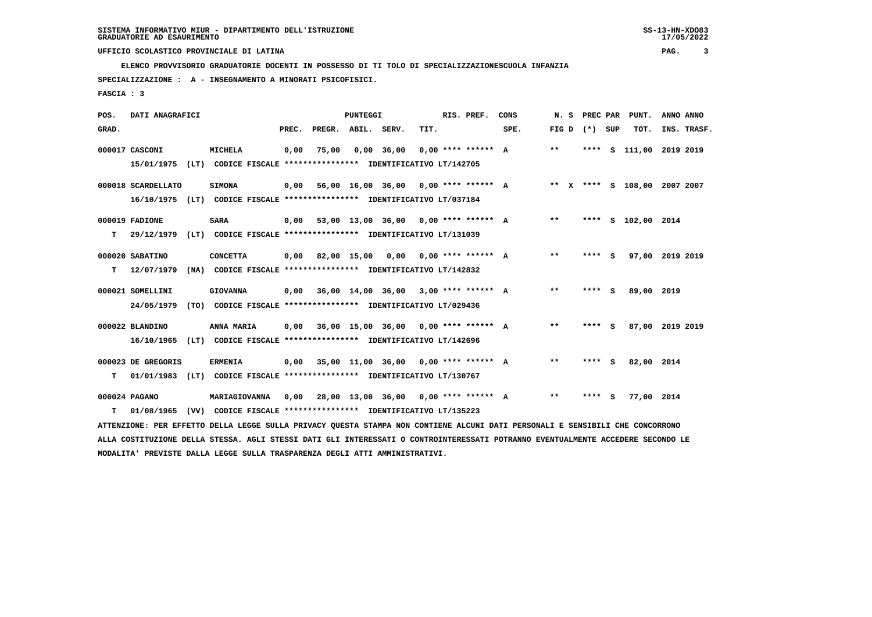**ELENCO PROVVISORIO GRADUATORIE DOCENTI IN POSSESSO DI TI TOLO DI SPECIALIZZAZIONESCUOLA INFANZIA**

 **SPECIALIZZAZIONE : A - INSEGNAMENTO A MINORATI PSICOFISICI.**

 **FASCIA : 3**

| POS.  | DATI ANAGRAFICI    |                                                                                                                               |       |                    | PUNTEGGI |                                             |      | RIS. PREF.           | CONS                                        | N. S  |                 | PREC PAR PUNT.               | ANNO ANNO |             |
|-------|--------------------|-------------------------------------------------------------------------------------------------------------------------------|-------|--------------------|----------|---------------------------------------------|------|----------------------|---------------------------------------------|-------|-----------------|------------------------------|-----------|-------------|
| GRAD. |                    |                                                                                                                               | PREC. | PREGR. ABIL. SERV. |          |                                             | TIT. |                      | SPE.                                        |       | FIG D $(*)$ SUP | TOT.                         |           | INS. TRASF. |
|       | 000017 CASCONI     | MICHELA                                                                                                                       | 0,00  | 75,00              |          | $0,00$ 36,00                                |      | $0.00$ **** ****** A |                                             | $***$ |                 | **** S 111,00 2019 2019      |           |             |
|       | 15/01/1975         | (LT) CODICE FISCALE *************** IDENTIFICATIVO LT/142705                                                                  |       |                    |          |                                             |      |                      |                                             |       |                 |                              |           |             |
|       | 000018 SCARDELLATO | <b>SIMONA</b>                                                                                                                 | 0,00  |                    |          |                                             |      |                      | 56,00 16,00 36,00 0,00 **** ****** A        |       |                 | ** X **** S 108,00 2007 2007 |           |             |
|       |                    | 16/10/1975 (LT) CODICE FISCALE *************** IDENTIFICATIVO LT/037184                                                       |       |                    |          |                                             |      |                      |                                             |       |                 |                              |           |             |
|       | 000019 FADIONE     | <b>SARA</b>                                                                                                                   |       |                    |          |                                             |      |                      | $0.00$ 53.00 13.00 36.00 0.00 **** ****** A | $***$ |                 | **** S 102,00 2014           |           |             |
| т     | 29/12/1979         | (LT) CODICE FISCALE **************** IDENTIFICATIVO LT/131039                                                                 |       |                    |          |                                             |      |                      |                                             |       |                 |                              |           |             |
|       | 000020 SABATINO    | <b>CONCETTA</b>                                                                                                               |       |                    |          | $0.00$ 82.00 15.00 0.00 0.00 **** ****** A  |      |                      |                                             | $***$ | **** S          | 97,00 2019 2019              |           |             |
| т     | 12/07/1979         | (NA) CODICE FISCALE **************** IDENTIFICATIVO LT/142832                                                                 |       |                    |          |                                             |      |                      |                                             |       |                 |                              |           |             |
|       | 000021 SOMELLINI   | <b>GIOVANNA</b>                                                                                                               |       |                    |          | $0,00$ 36,00 14,00 36,00 3,00 **** ****** A |      |                      |                                             | $* *$ | $***$ S         | 89,00 2019                   |           |             |
|       | 24/05/1979         | (TO) CODICE FISCALE **************** IDENTIFICATIVO LT/029436                                                                 |       |                    |          |                                             |      |                      |                                             |       |                 |                              |           |             |
|       | 000022 BLANDINO    | ANNA MARIA                                                                                                                    | 0.00  |                    |          | 36,00 15,00 36,00 0,00 **** ****** A        |      |                      |                                             | $***$ | **** S          | 87,00 2019 2019              |           |             |
|       |                    | 16/10/1965 (LT) CODICE FISCALE **************** IDENTIFICATIVO LT/142696                                                      |       |                    |          |                                             |      |                      |                                             |       |                 |                              |           |             |
|       |                    |                                                                                                                               |       |                    |          |                                             |      |                      |                                             | $* *$ |                 |                              |           |             |
|       | 000023 DE GREGORIS | <b>ERMENIA</b>                                                                                                                |       |                    |          | $0,00$ 35,00 11,00 36,00 0,00 **** ****** A |      |                      |                                             |       | **** S          | 82,00 2014                   |           |             |
| т     |                    | 01/01/1983 (LT) CODICE FISCALE *************** IDENTIFICATIVO LT/130767                                                       |       |                    |          |                                             |      |                      |                                             |       |                 |                              |           |             |
|       | 000024 PAGANO      | MARIAGIOVANNA                                                                                                                 | 0,00  |                    |          | 28,00 13,00 36,00 0,00 **** ****** A        |      |                      |                                             | $***$ | $***$ S         | 77,00 2014                   |           |             |
| т     | 01/08/1965         | (VV) CODICE FISCALE **************** IDENTIFICATIVO LT/135223                                                                 |       |                    |          |                                             |      |                      |                                             |       |                 |                              |           |             |
|       |                    | ATTENZIONE: PER EFFETTO DELLA LEGGE SULLA PRIVACY QUESTA STAMPA NON CONTIENE ALCUNI DATI PERSONALI E SENSIBILI CHE CONCORRONO |       |                    |          |                                             |      |                      |                                             |       |                 |                              |           |             |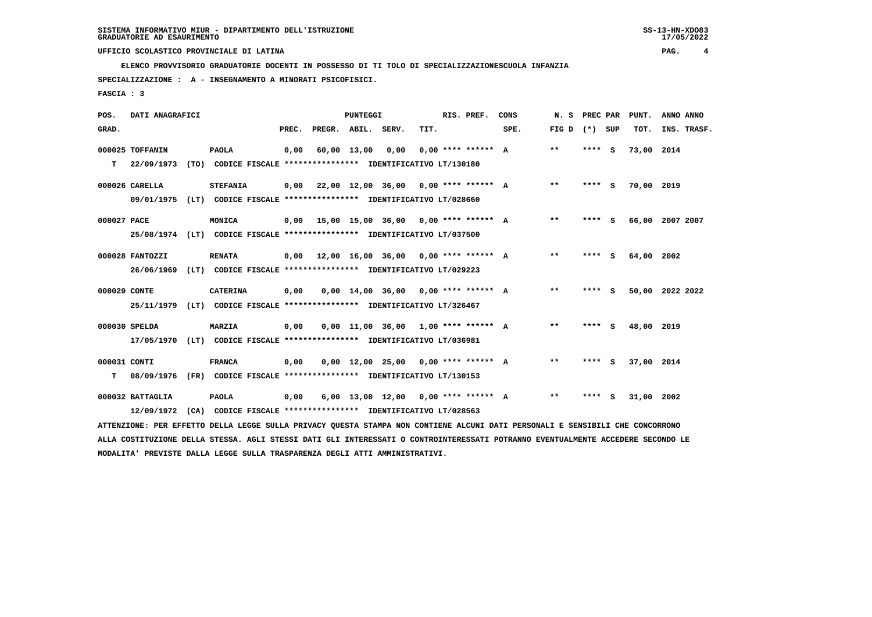**ELENCO PROVVISORIO GRADUATORIE DOCENTI IN POSSESSO DI TI TOLO DI SPECIALIZZAZIONESCUOLA INFANZIA**

 **SPECIALIZZAZIONE : A - INSEGNAMENTO A MINORATI PSICOFISICI.**

 **FASCIA : 3**

| POS.         | DATI ANAGRAFICI  |                                                                                                                               |       |                    | PUNTEGGI    |                                             |      | RIS. PREF.           | CONS | N. S            | PREC PAR | PUNT.      | ANNO ANNO       |
|--------------|------------------|-------------------------------------------------------------------------------------------------------------------------------|-------|--------------------|-------------|---------------------------------------------|------|----------------------|------|-----------------|----------|------------|-----------------|
| GRAD.        |                  |                                                                                                                               | PREC. | PREGR. ABIL. SERV. |             |                                             | TIT. |                      | SPE. | FIG D $(*)$ SUP |          | TOT.       | INS. TRASF.     |
|              | 000025 TOFFANIN  | <b>PAOLA</b>                                                                                                                  | 0,00  |                    | 60,00 13,00 | 0.00                                        |      | $0.00$ **** ****** A |      | **              | $***$ S  | 73,00 2014 |                 |
| т            | 22/09/1973       | (TO) CODICE FISCALE **************** IDENTIFICATIVO LT/130180                                                                 |       |                    |             |                                             |      |                      |      |                 |          |            |                 |
|              | 000026 CARELLA   | <b>STEFANIA</b>                                                                                                               |       |                    |             | $0.00$ 22.00 12.00 36.00 0.00 **** ****** A |      |                      |      | $* *$           | $***$ S  | 70,00 2019 |                 |
|              | 09/01/1975       | (LT) CODICE FISCALE *************** IDENTIFICATIVO LT/028660                                                                  |       |                    |             |                                             |      |                      |      |                 |          |            |                 |
| 000027 PACE  |                  | <b>MONICA</b>                                                                                                                 |       |                    |             | $0,00$ 15,00 15,00 36,00 0,00 **** ****** A |      |                      |      | **              | **** S   |            | 66,00 2007 2007 |
|              |                  | 25/08/1974 (LT) CODICE FISCALE *************** IDENTIFICATIVO LT/037500                                                       |       |                    |             |                                             |      |                      |      |                 |          |            |                 |
|              | 000028 FANTOZZI  | <b>RENATA</b>                                                                                                                 |       |                    |             | $0,00$ 12,00 16,00 36,00 0,00 **** ****** A |      |                      |      | $***$           | **** S   | 64,00 2002 |                 |
|              | 26/06/1969       | (LT) CODICE FISCALE **************** IDENTIFICATIVO LT/029223                                                                 |       |                    |             |                                             |      |                      |      |                 |          |            |                 |
| 000029 CONTE |                  | <b>CATERINA</b>                                                                                                               | 0,00  |                    |             | $0,00$ 14,00 36,00 0,00 **** ****** A       |      |                      |      | $**$            | **** S   |            | 50,00 2022 2022 |
|              |                  | 25/11/1979 (LT) CODICE FISCALE *************** IDENTIFICATIVO LT/326467                                                       |       |                    |             |                                             |      |                      |      |                 |          |            |                 |
|              | 000030 SPELDA    | <b>MARZIA</b>                                                                                                                 | 0,00  |                    |             | $0,00$ 11,00 36,00 1,00 **** ****** A       |      |                      |      | $***$           | **** S   | 48,00 2019 |                 |
|              | 17/05/1970       | (LT) CODICE FISCALE **************** IDENTIFICATIVO LT/036981                                                                 |       |                    |             |                                             |      |                      |      |                 |          |            |                 |
| 000031 CONTI |                  | <b>FRANCA</b>                                                                                                                 | 0,00  |                    |             | $0,00$ 12,00 25,00 0,00 **** ****** A       |      |                      |      | $**$            | **** S   | 37,00 2014 |                 |
| т            | 08/09/1976       | (FR) CODICE FISCALE **************** IDENTIFICATIVO LT/130153                                                                 |       |                    |             |                                             |      |                      |      |                 |          |            |                 |
|              |                  |                                                                                                                               |       |                    |             |                                             |      |                      |      |                 |          |            |                 |
|              | 000032 BATTAGLIA | <b>PAOLA</b>                                                                                                                  | 0,00  |                    |             | 6,00 13,00 12,00 0,00 **** ****** A         |      |                      |      | $* *$           | **** S   | 31,00 2002 |                 |
|              | 12/09/1972       | (CA) CODICE FISCALE **************** IDENTIFICATIVO LT/028563                                                                 |       |                    |             |                                             |      |                      |      |                 |          |            |                 |
|              |                  | ATTENZIONE: PER EFFETTO DELLA LEGGE SULLA PRIVACY OUESTA STAMPA NON CONTIENE ALCUNI DATI PERSONALI E SENSIBILI CHE CONCORRONO |       |                    |             |                                             |      |                      |      |                 |          |            |                 |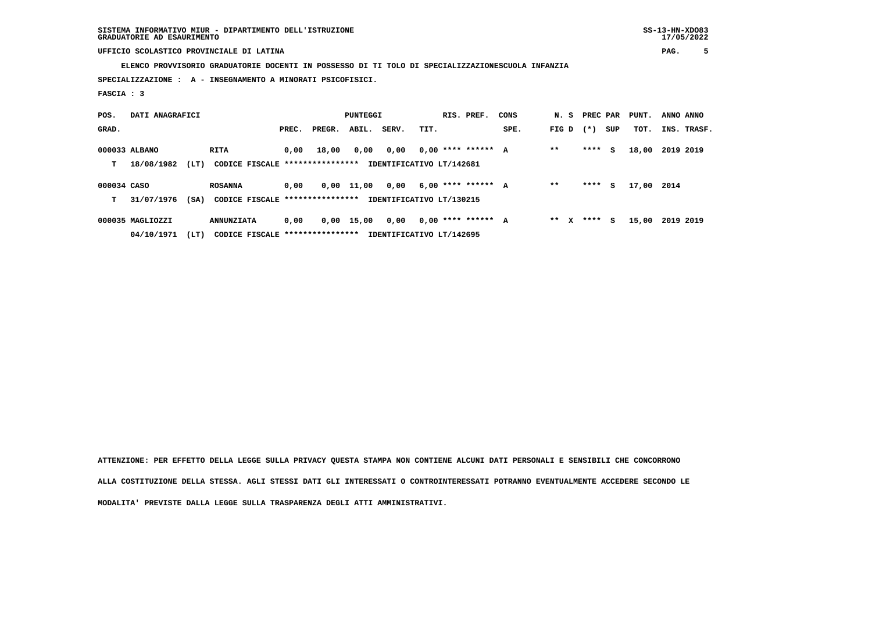**ELENCO PROVVISORIO GRADUATORIE DOCENTI IN POSSESSO DI TI TOLO DI SPECIALIZZAZIONESCUOLA INFANZIA**

 **SPECIALIZZAZIONE : A - INSEGNAMENTO A MINORATI PSICOFISICI.**

 **FASCIA : 3**

| POS.        | DATI ANAGRAFICI  |      |                                  |       |        | <b>PUNTEGGI</b> |                          |      | RIS. PREF.           | CONS | N. S PREC PAR |        |     | PUNT. | ANNO ANNO |             |
|-------------|------------------|------|----------------------------------|-------|--------|-----------------|--------------------------|------|----------------------|------|---------------|--------|-----|-------|-----------|-------------|
| GRAD.       |                  |      |                                  | PREC. | PREGR. | ABIL.           | SERV.                    | TIT. |                      | SPE. | FIG D         | $(* )$ | SUP | TOT.  |           | INS. TRASF. |
|             | 000033 ALBANO    |      | RITA                             | 0.00  | 18,00  | 0,00            | 0,00                     |      | $0.00$ **** ****** A |      | $* *$         | ****   | s   | 18,00 | 2019 2019 |             |
| т           | 18/08/1982       | (LT) | CODICE FISCALE ****************  |       |        |                 | IDENTIFICATIVO LT/142681 |      |                      |      |               |        |     |       |           |             |
| 000034 CASO |                  |      | <b>ROSANNA</b>                   | 0.00  |        | $0,00$ 11,00    | 0,00                     |      | $6,00$ **** ****** A |      | $* *$         | ****   | s   | 17,00 | 2014      |             |
| т           | 31/07/1976       | (SA) | CODICE FISCALE ****************  |       |        |                 | IDENTIFICATIVO LT/130215 |      |                      |      |               |        |     |       |           |             |
|             | 000035 MAGLIOZZI |      | <b>ANNUNZIATA</b>                | 0,00  |        | 0,00 15,00      | 0,00                     |      | $0.00$ **** ****** A |      | $***$ X       | ****   | s   | 15,00 | 2019 2019 |             |
|             | 04/10/1971       | (LT) | CODICE FISCALE ***************** |       |        |                 | IDENTIFICATIVO LT/142695 |      |                      |      |               |        |     |       |           |             |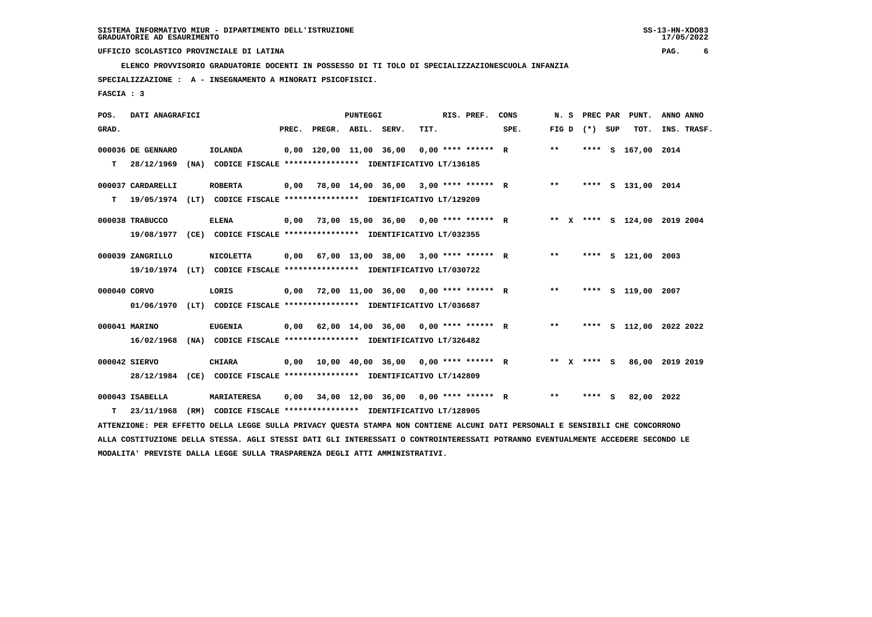**ELENCO PROVVISORIO GRADUATORIE DOCENTI IN POSSESSO DI TI TOLO DI SPECIALIZZAZIONESCUOLA INFANZIA**

 **SPECIALIZZAZIONE : A - INSEGNAMENTO A MINORATI PSICOFISICI.**

 **FASCIA : 3**

| POS.  | DATI ANAGRAFICI   |      |                                                                                                                               |       |                         | <b>PUNTEGGI</b> |                                             |      | RIS. PREF.           | CONS | N. S    | PREC PAR |     | PUNT.              | ANNO ANNO                    |
|-------|-------------------|------|-------------------------------------------------------------------------------------------------------------------------------|-------|-------------------------|-----------------|---------------------------------------------|------|----------------------|------|---------|----------|-----|--------------------|------------------------------|
| GRAD. |                   |      |                                                                                                                               | PREC. | PREGR. ABIL. SERV.      |                 |                                             | TIT. |                      | SPE. | FIG D   | $(* )$   | SUP | TOT.               | INS. TRASF.                  |
|       | 000036 DE GENNARO |      | <b>IOLANDA</b>                                                                                                                |       | 0,00 120,00 11,00 36,00 |                 |                                             |      | $0.00$ **** ****** R |      | $* *$   | ****     |     | S 167,00           | 2014                         |
| т     | 28/12/1969        | (MA) | CODICE FISCALE **************** IDENTIFICATIVO LT/136185                                                                      |       |                         |                 |                                             |      |                      |      |         |          |     |                    |                              |
|       | 000037 CARDARELLI |      | <b>ROBERTA</b>                                                                                                                | 0,00  |                         |                 | 78,00 14,00 36,00 3,00 **** ****** R        |      |                      |      | $* *$   |          |     | **** S 131,00 2014 |                              |
| т     | 19/05/1974        |      | (LT) CODICE FISCALE **************** IDENTIFICATIVO LT/129209                                                                 |       |                         |                 |                                             |      |                      |      |         |          |     |                    |                              |
|       | 000038 TRABUCCO   |      | <b>ELENA</b>                                                                                                                  | 0,00  |                         |                 | 73,00 15,00 36,00 0,00 **** ****** R        |      |                      |      |         |          |     |                    | ** X **** S 124,00 2019 2004 |
|       | 19/08/1977        |      | (CE) CODICE FISCALE **************** IDENTIFICATIVO LT/032355                                                                 |       |                         |                 |                                             |      |                      |      |         |          |     |                    |                              |
|       | 000039 ZANGRILLO  |      | <b>NICOLETTA</b>                                                                                                              | 0,00  |                         |                 | 67,00 13,00 38,00 3,00 **** ****** R        |      |                      |      | $***$   |          |     | **** S 121,00      | 2003                         |
|       | 19/10/1974        |      | (LT) CODICE FISCALE **************** IDENTIFICATIVO LT/030722                                                                 |       |                         |                 |                                             |      |                      |      |         |          |     |                    |                              |
|       | 000040 CORVO      |      | LORIS                                                                                                                         |       |                         |                 | $0,00$ 72,00 11,00 36,00 0,00 **** ****** R |      |                      |      | $* *$   |          |     | **** S 119,00      | 2007                         |
|       | 01/06/1970        |      | (LT) CODICE FISCALE **************** IDENTIFICATIVO LT/036687                                                                 |       |                         |                 |                                             |      |                      |      |         |          |     |                    |                              |
|       | 000041 MARINO     |      | <b>EUGENIA</b>                                                                                                                |       |                         |                 | $0.00$ 62.00 14.00 36.00 0.00 **** ****** R |      |                      |      | $* *$   |          |     |                    | **** S 112,00 2022 2022      |
|       | 16/02/1968        |      | (NA) CODICE FISCALE **************** IDENTIFICATIVO LT/326482                                                                 |       |                         |                 |                                             |      |                      |      |         |          |     |                    |                              |
|       | 000042 SIERVO     |      | <b>CHIARA</b>                                                                                                                 |       |                         |                 | $0.00$ 10.00 40.00 36.00 0.00 **** ****** R |      |                      |      | $***$ X | **** S   |     | 86,00              | 2019 2019                    |
|       | 28/12/1984        |      | (CE) CODICE FISCALE *************** IDENTIFICATIVO LT/142809                                                                  |       |                         |                 |                                             |      |                      |      |         |          |     |                    |                              |
|       | 000043 ISABELLA   |      | <b>MARIATERESA</b>                                                                                                            | 0,00  |                         |                 | 34,00 12,00 36,00 0,00 **** ****** R        |      |                      |      | $* *$   | **** S   |     | 82,00              | 2022                         |
| т     | 23/11/1968        | (RM) | CODICE FISCALE **************** IDENTIFICATIVO LT/128905                                                                      |       |                         |                 |                                             |      |                      |      |         |          |     |                    |                              |
|       |                   |      | ATTENZIONE: PER EFFETTO DELLA LEGGE SULLA PRIVACY QUESTA STAMPA NON CONTIENE ALCUNI DATI PERSONALI E SENSIBILI CHE CONCORRONO |       |                         |                 |                                             |      |                      |      |         |          |     |                    |                              |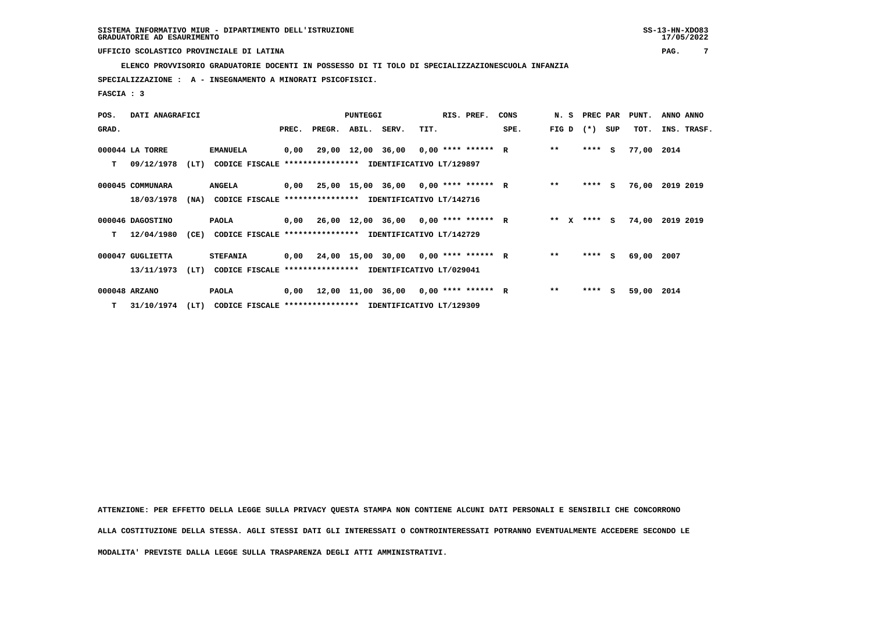**ELENCO PROVVISORIO GRADUATORIE DOCENTI IN POSSESSO DI TI TOLO DI SPECIALIZZAZIONESCUOLA INFANZIA**

 **SPECIALIZZAZIONE : A - INSEGNAMENTO A MINORATI PSICOFISICI.**

 **FASCIA : 3**

| POS.  | DATI ANAGRAFICI  |      |                                                               |       |              | <b>PUNTEGGI</b> |                                             |      | RIS. PREF. | CONS |        | N. S PREC PAR |     | PUNT.      | ANNO ANNO       |
|-------|------------------|------|---------------------------------------------------------------|-------|--------------|-----------------|---------------------------------------------|------|------------|------|--------|---------------|-----|------------|-----------------|
| GRAD. |                  |      |                                                               | PREC. | PREGR. ABIL. |                 | SERV.                                       | TIT. |            | SPE. | FIG D  | $(* )$        | SUP | TOT.       | INS. TRASF.     |
|       | 000044 LA TORRE  |      | <b>EMANUELA</b>                                               | 0,00  |              |                 | 29,00 12,00 36,00 0,00 **** ****** R        |      |            |      | $**$   | $***$ S       |     | 77,00 2014 |                 |
| т     | 09/12/1978       | (LT) | CODICE FISCALE **************** IDENTIFICATIVO LT/129897      |       |              |                 |                                             |      |            |      |        |               |     |            |                 |
|       | 000045 COMMUNARA |      | <b>ANGELA</b>                                                 |       |              |                 | $0,00$ 25,00 15,00 36,00 0,00 **** ****** R |      |            |      | $**$   | $***$ S       |     |            | 76,00 2019 2019 |
|       | 18/03/1978       |      | (NA) CODICE FISCALE **************** IDENTIFICATIVO LT/142716 |       |              |                 |                                             |      |            |      |        |               |     |            |                 |
|       | 000046 DAGOSTINO |      | PAOLA                                                         |       |              |                 | $0,00$ 26,00 12,00 36,00 0,00 **** ****** R |      |            |      | ** $X$ | $***$ S       |     |            | 74,00 2019 2019 |
| т     | 12/04/1980       | (CE) | <b>CODICE FISCALE</b>                                         |       |              |                 | **************** IDENTIFICATIVO LT/142729   |      |            |      |        |               |     |            |                 |
|       | 000047 GUGLIETTA |      | <b>STEFANIA</b>                                               |       |              |                 | $0,00$ 24,00 15,00 30,00 0,00 **** ****** R |      |            |      | $***$  | **** S        |     | 69,00 2007 |                 |
|       | 13/11/1973       | (LT) | CODICE FISCALE **************** IDENTIFICATIVO LT/029041      |       |              |                 |                                             |      |            |      |        |               |     |            |                 |
|       | 000048 ARZANO    |      | PAOLA                                                         |       |              |                 | $0,00$ 12,00 11,00 36,00 0,00 **** ****** R |      |            |      | $***$  | ****          | S.  | 59,00 2014 |                 |
|       | T 31/10/1974     | (LT) | CODICE FISCALE **************** IDENTIFICATIVO LT/129309      |       |              |                 |                                             |      |            |      |        |               |     |            |                 |

 **ATTENZIONE: PER EFFETTO DELLA LEGGE SULLA PRIVACY QUESTA STAMPA NON CONTIENE ALCUNI DATI PERSONALI E SENSIBILI CHE CONCORRONO ALLA COSTITUZIONE DELLA STESSA. AGLI STESSI DATI GLI INTERESSATI O CONTROINTERESSATI POTRANNO EVENTUALMENTE ACCEDERE SECONDO LE**

 **MODALITA' PREVISTE DALLA LEGGE SULLA TRASPARENZA DEGLI ATTI AMMINISTRATIVI.**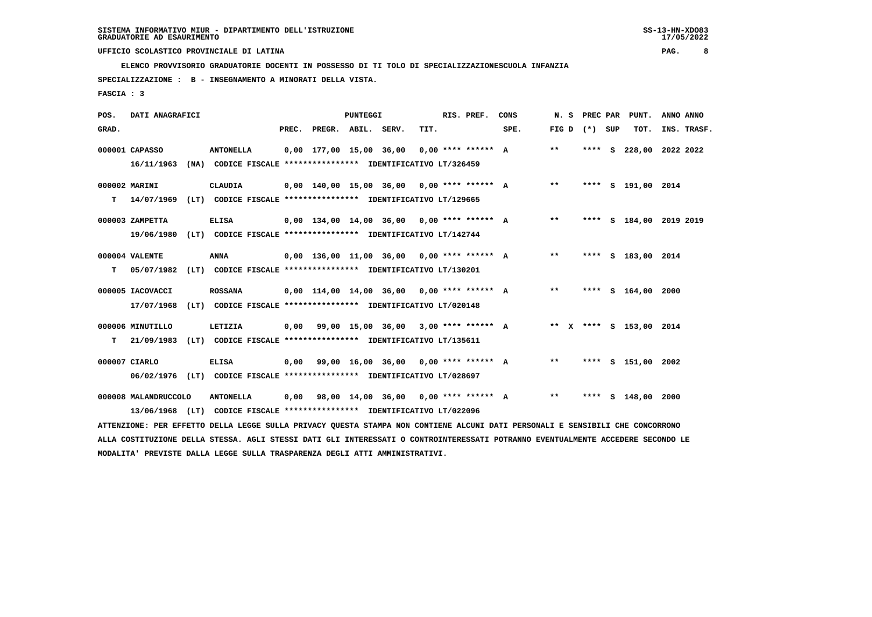**ELENCO PROVVISORIO GRADUATORIE DOCENTI IN POSSESSO DI TI TOLO DI SPECIALIZZAZIONESCUOLA INFANZIA**

 **SPECIALIZZAZIONE : B - INSEGNAMENTO A MINORATI DELLA VISTA.**

 **FASCIA : 3**

| POS.  | DATI ANAGRAFICI      |                                                                                                                               |      |                          | <b>PUNTEGGI</b> |                                              |      | RIS. PREF. | CONS | N. S  |                   | PREC PAR PUNT.          | ANNO ANNO |             |
|-------|----------------------|-------------------------------------------------------------------------------------------------------------------------------|------|--------------------------|-----------------|----------------------------------------------|------|------------|------|-------|-------------------|-------------------------|-----------|-------------|
| GRAD. |                      |                                                                                                                               |      | PREC. PREGR. ABIL. SERV. |                 |                                              | TIT. |            | SPE. |       | FIG $D$ $(*)$ SUP | TOT.                    |           | INS. TRASF. |
|       | 000001 CAPASSO       | <b>ANTONELLA</b>                                                                                                              |      |                          |                 | $0,00$ 177,00 15,00 36,00 0,00 **** ****** A |      |            |      | $***$ |                   | **** S 228,00 2022 2022 |           |             |
|       | 16/11/1963           | (NA) CODICE FISCALE **************** IDENTIFICATIVO LT/326459                                                                 |      |                          |                 |                                              |      |            |      |       |                   |                         |           |             |
|       | 000002 MARINI        | CLAUDIA                                                                                                                       |      |                          |                 | $0.00$ 140.00 15.00 36.00 0.00 **** ****** A |      |            |      | $***$ |                   | **** S 191,00 2014      |           |             |
| т     | 14/07/1969           | (LT) CODICE FISCALE **************** IDENTIFICATIVO LT/129665                                                                 |      |                          |                 |                                              |      |            |      |       |                   |                         |           |             |
|       | 000003 ZAMPETTA      | <b>ELISA</b>                                                                                                                  |      |                          |                 | 0,00 134,00 14,00 36,00 0,00 **** ****** A   |      |            |      | $***$ |                   | **** S 184,00 2019 2019 |           |             |
|       | 19/06/1980           | (LT) CODICE FISCALE **************** IDENTIFICATIVO LT/142744                                                                 |      |                          |                 |                                              |      |            |      |       |                   |                         |           |             |
|       | 000004 VALENTE       | <b>ANNA</b>                                                                                                                   |      |                          |                 | 0,00 136,00 11,00 36,00 0,00 **** ****** A   |      |            |      | $***$ |                   | **** S 183,00 2014      |           |             |
|       | T 05/07/1982         | (LT) CODICE FISCALE **************** IDENTIFICATIVO LT/130201                                                                 |      |                          |                 |                                              |      |            |      |       |                   |                         |           |             |
|       | 000005 IACOVACCI     | <b>ROSSANA</b>                                                                                                                |      |                          |                 | $0,00$ 114,00 14,00 36,00 0,00 **** ****** A |      |            |      | $***$ |                   | **** S 164,00 2000      |           |             |
|       | 17/07/1968           | (LT) CODICE FISCALE **************** IDENTIFICATIVO LT/020148                                                                 |      |                          |                 |                                              |      |            |      |       |                   |                         |           |             |
|       | 000006 MINUTILLO     | LETIZIA                                                                                                                       |      |                          |                 | $0,00$ 99,00 15,00 36,00 3,00 **** ****** A  |      |            |      |       |                   | ** X **** S 153,00 2014 |           |             |
| т     | 21/09/1983           | (LT) CODICE FISCALE **************** IDENTIFICATIVO LT/135611                                                                 |      |                          |                 |                                              |      |            |      |       |                   |                         |           |             |
|       | 000007 CIARLO        | <b>ELISA</b>                                                                                                                  | 0,00 |                          |                 | 99,00 16,00 36,00 0,00 **** ****** A         |      |            |      | $**$  |                   | **** S 151,00 2002      |           |             |
|       |                      | 06/02/1976 (LT) CODICE FISCALE *************** IDENTIFICATIVO LT/028697                                                       |      |                          |                 |                                              |      |            |      |       |                   |                         |           |             |
|       | 000008 MALANDRUCCOLO | <b>ANTONELLA</b>                                                                                                              | 0,00 |                          |                 | 98,00 14,00 36,00 0,00 **** ****** A         |      |            |      | $***$ |                   | **** S 148,00 2000      |           |             |
|       |                      | 13/06/1968 (LT) CODICE FISCALE **************** IDENTIFICATIVO LT/022096                                                      |      |                          |                 |                                              |      |            |      |       |                   |                         |           |             |
|       |                      | ATTENZIONE: PER EFFETTO DELLA LEGGE SULLA PRIVACY QUESTA STAMPA NON CONTIENE ALCUNI DATI PERSONALI E SENSIBILI CHE CONCORRONO |      |                          |                 |                                              |      |            |      |       |                   |                         |           |             |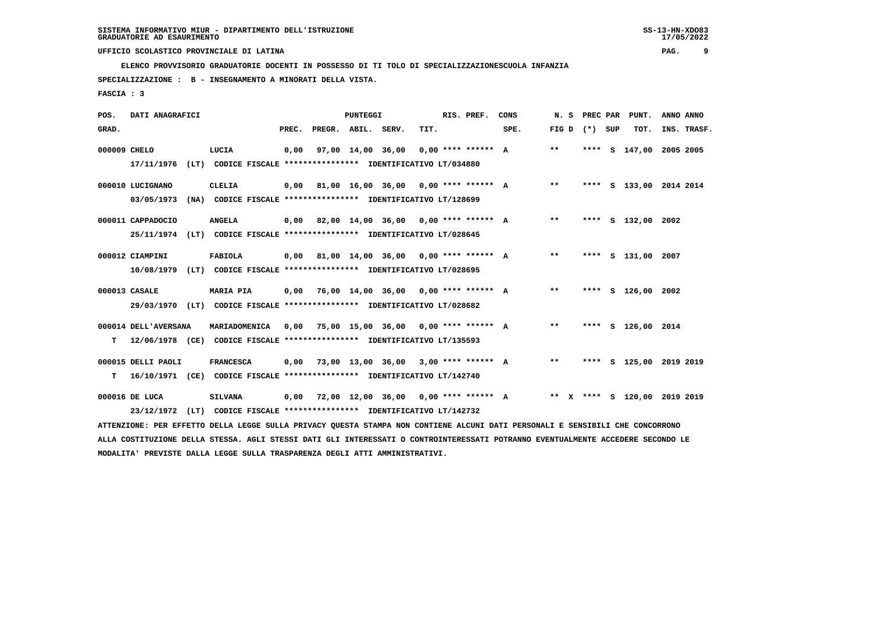**ELENCO PROVVISORIO GRADUATORIE DOCENTI IN POSSESSO DI TI TOLO DI SPECIALIZZAZIONESCUOLA INFANZIA**

 **SPECIALIZZAZIONE : B - INSEGNAMENTO A MINORATI DELLA VISTA.**

 **FASCIA : 3**

| POS.         | DATI ANAGRAFICI                |                                                                                                                                                                                                                             |       |                    | <b>PUNTEGGI</b> |                                             |      | RIS. PREF. | CONS                                      | N.S             |  | PREC PAR PUNT.               | ANNO ANNO |             |
|--------------|--------------------------------|-----------------------------------------------------------------------------------------------------------------------------------------------------------------------------------------------------------------------------|-------|--------------------|-----------------|---------------------------------------------|------|------------|-------------------------------------------|-----------------|--|------------------------------|-----------|-------------|
| GRAD.        |                                |                                                                                                                                                                                                                             | PREC. | PREGR. ABIL. SERV. |                 |                                             | TIT. |            | SPE.                                      | FIG D $(*)$ SUP |  | тот.                         |           | INS. TRASF. |
| 000009 CHELO | 17/11/1976                     | LUCIA<br>(LT) CODICE FISCALE **************** IDENTIFICATIVO LT/034880                                                                                                                                                      | 0,00  |                    |                 | 97,00 14,00 36,00 0,00 **** ****** A        |      |            |                                           | $***$           |  | **** S 147,00 2005 2005      |           |             |
|              | 000010 LUCIGNANO<br>03/05/1973 | CLELIA<br>(NA) CODICE FISCALE **************** IDENTIFICATIVO LT/128699                                                                                                                                                     |       |                    |                 |                                             |      |            | 0,00 81,00 16,00 36,00 0,00 **** ****** A | $***$           |  | **** S 133,00 2014 2014      |           |             |
|              | 000011 CAPPADOCIO              | <b>ANGELA</b><br>25/11/1974 (LT) CODICE FISCALE *************** IDENTIFICATIVO LT/028645                                                                                                                                    |       |                    |                 |                                             |      |            | 0,00 82,00 14,00 36,00 0,00 **** ****** A | $***$           |  | **** S 132,00 2002           |           |             |
|              | 000012 CIAMPINI<br>10/08/1979  | FABIOLA<br>(LT) CODICE FISCALE **************** IDENTIFICATIVO LT/028695                                                                                                                                                    |       |                    |                 | $0,00$ 81,00 14,00 36,00 0,00 **** ****** A |      |            |                                           | $***$           |  | **** S 131,00 2007           |           |             |
|              | 000013 CASALE                  | <b>MARIA PIA</b><br>29/03/1970 (LT) CODICE FISCALE *************** IDENTIFICATIVO LT/028682                                                                                                                                 |       |                    |                 | $0,00$ 76,00 14,00 36,00 0,00 **** ****** A |      |            |                                           | $**$            |  | **** S 126,00 2002           |           |             |
| т            | 000014 DELL'AVERSANA           | MARIADOMENICA<br>12/06/1978 (CE) CODICE FISCALE **************** IDENTIFICATIVO LT/135593                                                                                                                                   | 0,00  |                    |                 | 75,00 15,00 36,00 0,00 **** ****** A        |      |            |                                           | $***$           |  | **** S 126,00 2014           |           |             |
| т            | 000015 DELLI PAOLI             | <b>FRANCESCA</b><br>16/10/1971 (CE) CODICE FISCALE **************** IDENTIFICATIVO LT/142740                                                                                                                                | 0,00  |                    |                 | 73,00 13,00 36,00 3,00 **** ****** A        |      |            |                                           | $***$           |  | **** S 125,00 2019 2019      |           |             |
|              | 000016 DE LUCA                 | <b>SILVANA</b><br>23/12/1972 (LT) CODICE FISCALE **************** IDENTIFICATIVO LT/142732<br>ATTENZIONE: PER EFFETTO DELLA LEGGE SULLA PRIVACY QUESTA STAMPA NON CONTIENE ALCUNI DATI PERSONALI E SENSIBILI CHE CONCORRONO |       |                    |                 | $0,00$ 72,00 12,00 36,00 0,00 **** ****** A |      |            |                                           |                 |  | ** X **** S 120.00 2019 2019 |           |             |
|              |                                |                                                                                                                                                                                                                             |       |                    |                 |                                             |      |            |                                           |                 |  |                              |           |             |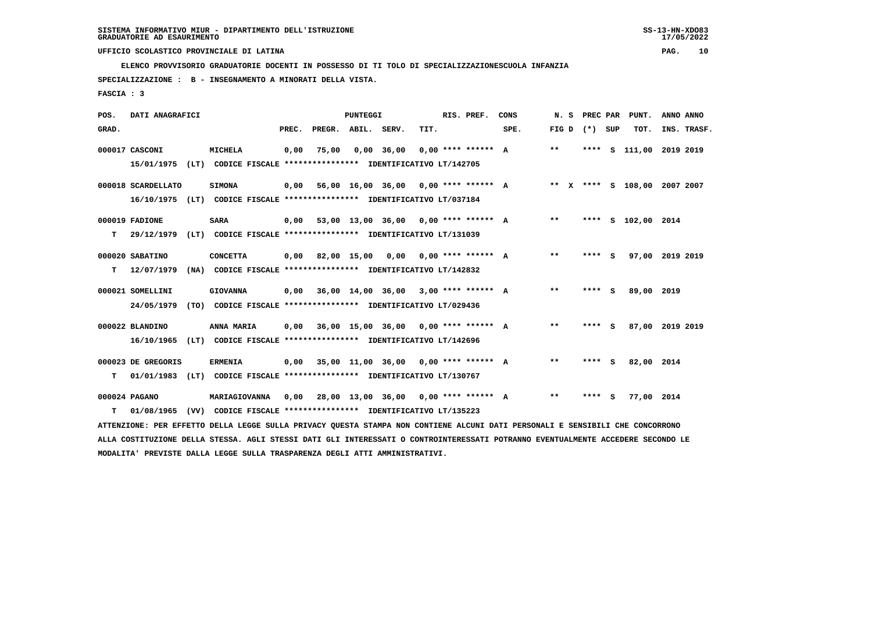**ELENCO PROVVISORIO GRADUATORIE DOCENTI IN POSSESSO DI TI TOLO DI SPECIALIZZAZIONESCUOLA INFANZIA**

 **SPECIALIZZAZIONE : B - INSEGNAMENTO A MINORATI DELLA VISTA.**

 **FASCIA : 3**

| POS.  | DATI ANAGRAFICI    |      |                                                                                                                               |       |                    | <b>PUNTEGGI</b> |                                             |      | RIS. PREF.           | CONS | N. S  |                 |         | PREC PAR PUNT.               | ANNO ANNO |             |
|-------|--------------------|------|-------------------------------------------------------------------------------------------------------------------------------|-------|--------------------|-----------------|---------------------------------------------|------|----------------------|------|-------|-----------------|---------|------------------------------|-----------|-------------|
| GRAD. |                    |      |                                                                                                                               | PREC. | PREGR. ABIL. SERV. |                 |                                             | TIT. |                      | SPE. |       | FIG D $(*)$ SUP |         | TOT.                         |           | INS. TRASF. |
|       | 000017 CASCONI     |      | MICHELA                                                                                                                       | 0,00  | 75,00              |                 | $0,00$ 36,00                                |      | $0.00$ **** ****** A |      | $* *$ |                 |         | **** S 111,00 2019 2019      |           |             |
|       | 15/01/1975         |      | (LT) CODICE FISCALE **************** IDENTIFICATIVO LT/142705                                                                 |       |                    |                 |                                             |      |                      |      |       |                 |         |                              |           |             |
|       | 000018 SCARDELLATO |      | <b>SIMONA</b>                                                                                                                 | 0,00  |                    |                 | 56,00 16,00 36,00 0,00 **** ****** A        |      |                      |      |       |                 |         | ** X **** S 108,00 2007 2007 |           |             |
|       |                    |      | 16/10/1975 (LT) CODICE FISCALE *************** IDENTIFICATIVO LT/037184                                                       |       |                    |                 |                                             |      |                      |      |       |                 |         |                              |           |             |
|       | 000019 FADIONE     |      | <b>SARA</b>                                                                                                                   | 0.00  |                    |                 | 53,00 13,00 36,00 0,00 **** ****** A        |      |                      |      | $***$ |                 |         | **** S 102,00 2014           |           |             |
| т     | 29/12/1979         |      | (LT) CODICE FISCALE **************** IDENTIFICATIVO LT/131039                                                                 |       |                    |                 |                                             |      |                      |      |       |                 |         |                              |           |             |
|       | 000020 SABATINO    |      | <b>CONCETTA</b>                                                                                                               |       |                    |                 | $0,00$ 82,00 15,00 0,00 0,00 **** ****** A  |      |                      |      | $* *$ |                 | $***$ S | 97,00 2019 2019              |           |             |
| т     | 12/07/1979         |      | (NA) CODICE FISCALE **************** IDENTIFICATIVO LT/142832                                                                 |       |                    |                 |                                             |      |                      |      |       |                 |         |                              |           |             |
|       |                    |      |                                                                                                                               |       |                    |                 |                                             |      |                      |      |       |                 |         |                              |           |             |
|       | 000021 SOMELLINI   |      | <b>GIOVANNA</b>                                                                                                               |       |                    |                 | $0,00$ 36,00 14,00 36,00 3,00 **** ****** A |      |                      |      | $***$ |                 | **** S  | 89,00 2019                   |           |             |
|       | 24/05/1979         |      | (TO) CODICE FISCALE **************** IDENTIFICATIVO LT/029436                                                                 |       |                    |                 |                                             |      |                      |      |       |                 |         |                              |           |             |
|       | 000022 BLANDINO    |      | ANNA MARIA                                                                                                                    | 0,00  |                    |                 | 36,00 15,00 36,00 0,00 **** ****** A        |      |                      |      | $* *$ |                 | **** S  | 87,00 2019 2019              |           |             |
|       | 16/10/1965         |      | (LT) CODICE FISCALE **************** IDENTIFICATIVO LT/142696                                                                 |       |                    |                 |                                             |      |                      |      |       |                 |         |                              |           |             |
|       | 000023 DE GREGORIS |      | <b>ERMENIA</b>                                                                                                                |       |                    |                 | $0,00$ 35,00 11,00 36,00 0,00 **** ****** A |      |                      |      | $***$ |                 | **** S  | 82,00 2014                   |           |             |
| т     |                    |      | 01/01/1983 (LT) CODICE FISCALE **************** IDENTIFICATIVO LT/130767                                                      |       |                    |                 |                                             |      |                      |      |       |                 |         |                              |           |             |
|       |                    |      |                                                                                                                               |       |                    |                 |                                             |      |                      |      |       |                 |         |                              |           |             |
|       | 000024 PAGANO      |      | MARIAGIOVANNA                                                                                                                 | 0,00  |                    |                 | 28,00 13,00 36,00 0,00 **** ****** A        |      |                      |      | $***$ |                 | **** S  | 77,00 2014                   |           |             |
| т     | 01/08/1965         | (VV) | CODICE FISCALE **************** IDENTIFICATIVO LT/135223                                                                      |       |                    |                 |                                             |      |                      |      |       |                 |         |                              |           |             |
|       |                    |      | ATTENZIONE: PER EFFETTO DELLA LEGGE SULLA PRIVACY QUESTA STAMPA NON CONTIENE ALCUNI DATI PERSONALI E SENSIBILI CHE CONCORRONO |       |                    |                 |                                             |      |                      |      |       |                 |         |                              |           |             |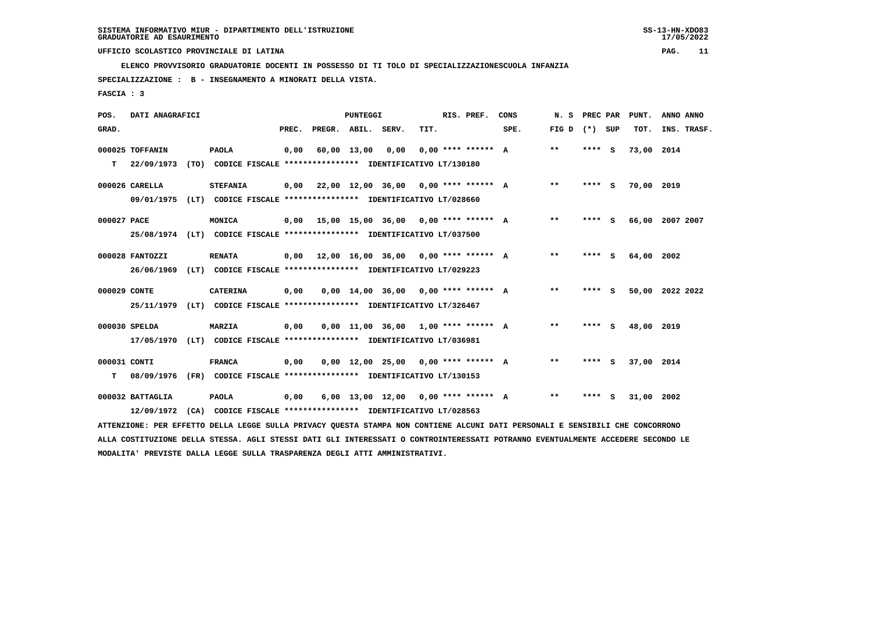**ELENCO PROVVISORIO GRADUATORIE DOCENTI IN POSSESSO DI TI TOLO DI SPECIALIZZAZIONESCUOLA INFANZIA**

 **SPECIALIZZAZIONE : B - INSEGNAMENTO A MINORATI DELLA VISTA.**

 **FASCIA : 3**

| POS.         | DATI ANAGRAFICI  |                                                                                                                               |       |                    | <b>PUNTEGGI</b> |                                             |      | RIS. PREF.           | CONS | N. S            | PREC PAR | PUNT.      | ANNO ANNO       |
|--------------|------------------|-------------------------------------------------------------------------------------------------------------------------------|-------|--------------------|-----------------|---------------------------------------------|------|----------------------|------|-----------------|----------|------------|-----------------|
| GRAD.        |                  |                                                                                                                               | PREC. | PREGR. ABIL. SERV. |                 |                                             | TIT. |                      | SPE. | FIG D $(*)$ SUP |          | TOT.       | INS. TRASF.     |
|              | 000025 TOFFANIN  | <b>PAOLA</b>                                                                                                                  | 0,00  |                    | 60,00 13,00     | 0,00                                        |      | $0.00$ **** ****** A |      | $\star\star$    | **** S   | 73,00 2014 |                 |
| т            | 22/09/1973       | (TO) CODICE FISCALE **************** IDENTIFICATIVO LT/130180                                                                 |       |                    |                 |                                             |      |                      |      |                 |          |            |                 |
|              | 000026 CARELLA   | <b>STEFANIA</b>                                                                                                               |       |                    |                 | $0.00$ 22.00 12.00 36.00 0.00 **** ****** A |      |                      |      | $* *$           | $***$ S  | 70,00 2019 |                 |
|              | 09/01/1975       | (LT) CODICE FISCALE *************** IDENTIFICATIVO LT/028660                                                                  |       |                    |                 |                                             |      |                      |      |                 |          |            |                 |
| 000027 PACE  |                  | MONICA                                                                                                                        |       |                    |                 | $0,00$ 15,00 15,00 36,00 0,00 **** ****** A |      |                      |      | **              | **** S   |            | 66,00 2007 2007 |
|              |                  | 25/08/1974 (LT) CODICE FISCALE *************** IDENTIFICATIVO LT/037500                                                       |       |                    |                 |                                             |      |                      |      |                 |          |            |                 |
|              | 000028 FANTOZZI  | <b>RENATA</b>                                                                                                                 |       |                    |                 | $0,00$ 12,00 16,00 36,00 0,00 **** ****** A |      |                      |      | **              | **** S   | 64,00 2002 |                 |
|              | 26/06/1969       | (LT) CODICE FISCALE **************** IDENTIFICATIVO LT/029223                                                                 |       |                    |                 |                                             |      |                      |      |                 |          |            |                 |
| 000029 CONTE |                  | <b>CATERINA</b>                                                                                                               | 0,00  |                    |                 | $0.00$ 14.00 36.00 0.00 **** ****** A       |      |                      |      | $* *$           | **** S   |            | 50,00 2022 2022 |
|              |                  | 25/11/1979 (LT) CODICE FISCALE *************** IDENTIFICATIVO LT/326467                                                       |       |                    |                 |                                             |      |                      |      |                 |          |            |                 |
|              | 000030 SPELDA    | <b>MARZIA</b>                                                                                                                 | 0,00  |                    |                 | $0.00$ 11.00 36.00 1.00 **** ****** A       |      |                      |      | $* *$           | **** S   | 48,00 2019 |                 |
|              | 17/05/1970       | (LT) CODICE FISCALE **************** IDENTIFICATIVO LT/036981                                                                 |       |                    |                 |                                             |      |                      |      |                 |          |            |                 |
| 000031 CONTI |                  | <b>FRANCA</b>                                                                                                                 | 0,00  |                    |                 | $0,00$ 12,00 25,00 0,00 **** ****** A       |      |                      |      | $* *$           | $***$ S  | 37,00 2014 |                 |
| т            | 08/09/1976       | (FR) CODICE FISCALE **************** IDENTIFICATIVO LT/130153                                                                 |       |                    |                 |                                             |      |                      |      |                 |          |            |                 |
|              | 000032 BATTAGLIA | <b>PAOLA</b>                                                                                                                  | 0,00  |                    |                 | 6,00 13,00 12,00 0,00 **** ****** A         |      |                      |      | $* *$           | **** S   | 31,00 2002 |                 |
|              | 12/09/1972       | (CA) CODICE FISCALE **************** IDENTIFICATIVO LT/028563                                                                 |       |                    |                 |                                             |      |                      |      |                 |          |            |                 |
|              |                  | ATTENZIONE: PER EFFETTO DELLA LEGGE SULLA PRIVACY OUESTA STAMPA NON CONTIENE ALCUNI DATI PERSONALI E SENSIBILI CHE CONCORRONO |       |                    |                 |                                             |      |                      |      |                 |          |            |                 |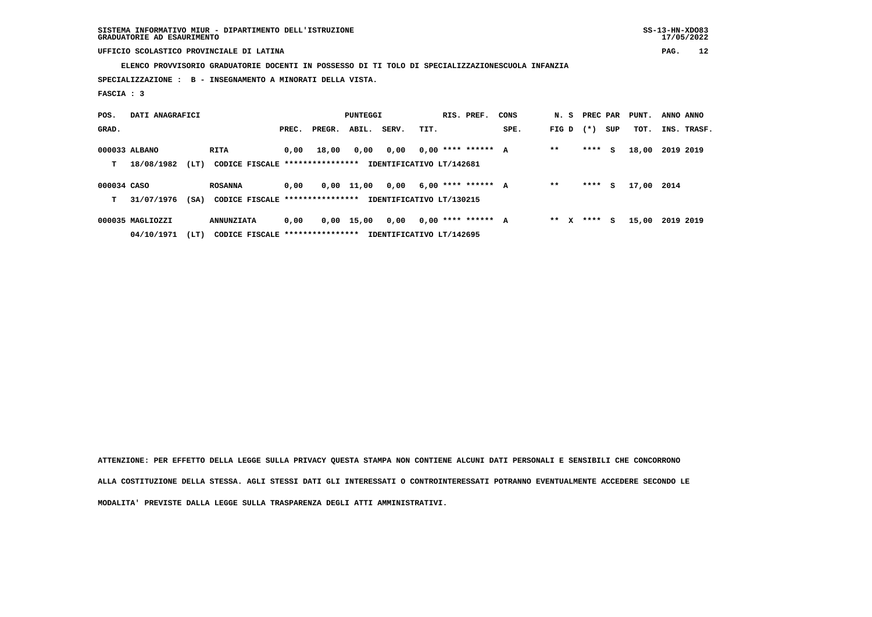**SISTEMA INFORMATIVO MIUR - DIPARTIMENTO DELL'ISTRUZIONE SS-13-HN-XDO83 GRADUATORIE AD ESAURIMENTO 17/05/2022**

 **UFFICIO SCOLASTICO PROVINCIALE DI LATINA PAG. 12**

 **ELENCO PROVVISORIO GRADUATORIE DOCENTI IN POSSESSO DI TI TOLO DI SPECIALIZZAZIONESCUOLA INFANZIA**

 **SPECIALIZZAZIONE : B - INSEGNAMENTO A MINORATI DELLA VISTA.**

 **FASCIA : 3**

| POS.        | DATI ANAGRAFICI  |      |                                 |       |        | PUNTEGGI     |                          |      | RIS. PREF.           | CONS |         | N. S PREC PAR |     | PUNT. | ANNO ANNO   |
|-------------|------------------|------|---------------------------------|-------|--------|--------------|--------------------------|------|----------------------|------|---------|---------------|-----|-------|-------------|
| GRAD.       |                  |      |                                 | PREC. | PREGR. | ABIL.        | SERV.                    | TIT. |                      | SPE. | FIG D   | $(* )$        | SUP | TOT.  | INS. TRASF. |
|             | 000033 ALBANO    |      | <b>RITA</b>                     | 0.00  | 18,00  | 0,00         | 0,00                     |      | $0.00$ **** ****** A |      | $* *$   | ****          | s   | 18,00 | 2019 2019   |
| т           | 18/08/1982       | (LT) | CODICE FISCALE **************** |       |        |              | IDENTIFICATIVO LT/142681 |      |                      |      |         |               |     |       |             |
| 000034 CASO |                  |      | <b>ROSANNA</b>                  | 0.00  |        | $0,00$ 11,00 | 0,00                     |      | $6,00$ **** ****** A |      | $* *$   | ****          | s   | 17,00 | 2014        |
| т           | 31/07/1976       | (SA) | CODICE FISCALE **************** |       |        |              | IDENTIFICATIVO LT/130215 |      |                      |      |         |               |     |       |             |
|             | 000035 MAGLIOZZI |      | <b>ANNUNZIATA</b>               | 0,00  | 0,00   | 15,00        | 0,00                     |      | $0.00$ **** ****** A |      | $***$ X | ****          | s   | 15,00 | 2019 2019   |
|             | 04/10/1971       | (LT) | CODICE FISCALE **************** |       |        |              | IDENTIFICATIVO LT/142695 |      |                      |      |         |               |     |       |             |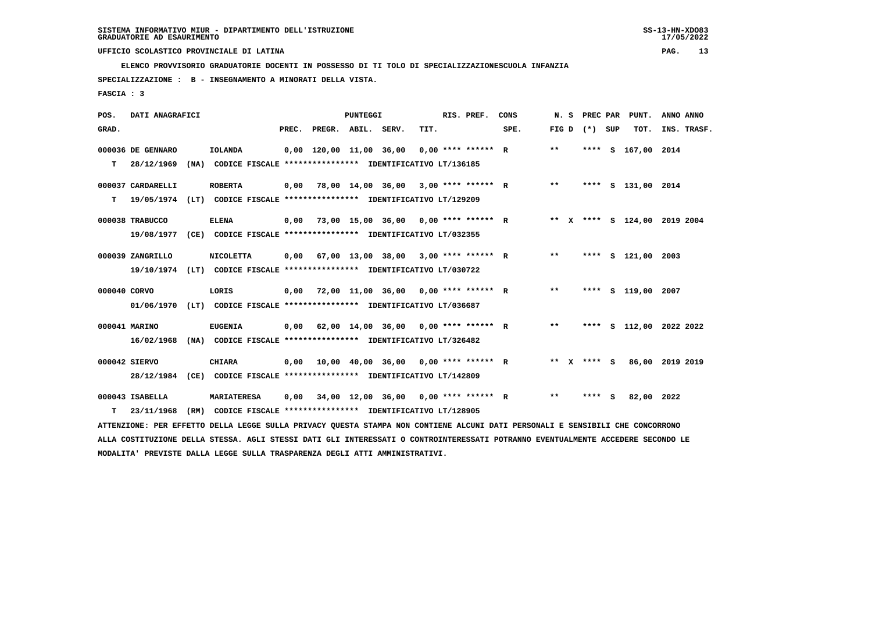**ELENCO PROVVISORIO GRADUATORIE DOCENTI IN POSSESSO DI TI TOLO DI SPECIALIZZAZIONESCUOLA INFANZIA**

 **SPECIALIZZAZIONE : B - INSEGNAMENTO A MINORATI DELLA VISTA.**

 **FASCIA : 3**

| POS.         | DATI ANAGRAFICI   |      |                                                                                                                               |       |                         | <b>PUNTEGGI</b> |                                        |      | RIS. PREF.           | CONS | N.S   | PREC PAR |     | PUNT.                        | ANNO ANNO |             |
|--------------|-------------------|------|-------------------------------------------------------------------------------------------------------------------------------|-------|-------------------------|-----------------|----------------------------------------|------|----------------------|------|-------|----------|-----|------------------------------|-----------|-------------|
| GRAD.        |                   |      |                                                                                                                               | PREC. | PREGR. ABIL. SERV.      |                 |                                        | TIT. |                      | SPE. | FIG D | $(*)$    | SUP | TOT.                         |           | INS. TRASF. |
|              | 000036 DE GENNARO |      | <b>IOLANDA</b>                                                                                                                |       | 0,00 120,00 11,00 36,00 |                 |                                        |      | $0.00$ **** ****** R |      | $**$  | ****     |     | S 167,00                     | 2014      |             |
| т            | 28/12/1969        | (NA) | CODICE FISCALE **************** IDENTIFICATIVO LT/136185                                                                      |       |                         |                 |                                        |      |                      |      |       |          |     |                              |           |             |
|              | 000037 CARDARELLI |      | <b>ROBERTA</b>                                                                                                                | 0,00  |                         |                 | 78,00 14,00 36,00 3,00 **** ****** R   |      |                      |      | $***$ | ****     |     | S 131,00 2014                |           |             |
| т            | 19/05/1974        |      | (LT) CODICE FISCALE **************** IDENTIFICATIVO LT/129209                                                                 |       |                         |                 |                                        |      |                      |      |       |          |     |                              |           |             |
|              | 000038 TRABUCCO   |      | <b>ELENA</b>                                                                                                                  | 0.00  |                         |                 | 73,00 15,00 36,00 0,00 **** ****** R   |      |                      |      |       |          |     | ** X **** S 124,00 2019 2004 |           |             |
|              | 19/08/1977        |      | (CE) CODICE FISCALE **************** IDENTIFICATIVO LT/032355                                                                 |       |                         |                 |                                        |      |                      |      |       |          |     |                              |           |             |
|              | 000039 ZANGRILLO  |      | <b>NICOLETTA</b>                                                                                                              | 0,00  |                         |                 | 67,00 13,00 38,00 3,00 **** ****** R   |      |                      |      | $***$ |          |     | **** S 121,00                | 2003      |             |
|              | 19/10/1974        |      | (LT) CODICE FISCALE **************** IDENTIFICATIVO LT/030722                                                                 |       |                         |                 |                                        |      |                      |      |       |          |     |                              |           |             |
| 000040 CORVO |                   |      | LORIS                                                                                                                         | 0.00  |                         |                 | 72,00 11,00 36,00 0,00 **** ****** R   |      |                      |      | $***$ | ****     |     | s 119,00                     | 2007      |             |
|              | 01/06/1970        |      | (LT) CODICE FISCALE **************** IDENTIFICATIVO LT/036687                                                                 |       |                         |                 |                                        |      |                      |      |       |          |     |                              |           |             |
|              | 000041 MARINO     |      | <b>EUGENIA</b>                                                                                                                | 0.00  |                         |                 | $62,00$ 14,00 36,00 0,00 **** ****** R |      |                      |      | $**$  | ****     |     | S 112,00 2022 2022           |           |             |
|              | 16/02/1968        |      | (NA) CODICE FISCALE **************** IDENTIFICATIVO LT/326482                                                                 |       |                         |                 |                                        |      |                      |      |       |          |     |                              |           |             |
|              | 000042 SIERVO     |      | <b>CHIARA</b>                                                                                                                 | 0.00  |                         |                 | 10,00 40,00 36,00 0,00 **** ****** R   |      |                      |      | ** X  | **** S   |     | 86,00                        | 2019 2019 |             |
|              | 28/12/1984        |      | (CE) CODICE FISCALE *************** IDENTIFICATIVO LT/142809                                                                  |       |                         |                 |                                        |      |                      |      |       |          |     |                              |           |             |
|              | 000043 ISABELLA   |      | <b>MARIATERESA</b>                                                                                                            | 0,00  |                         |                 | 34,00 12,00 36,00 0,00 **** ****** R   |      |                      |      | $**$  | ****     | - S | 82,00                        | 2022      |             |
| т            | 23/11/1968        | (RM) | CODICE FISCALE **************** IDENTIFICATIVO LT/128905                                                                      |       |                         |                 |                                        |      |                      |      |       |          |     |                              |           |             |
|              |                   |      | ATTENZIONE: PER EFFETTO DELLA LEGGE SULLA PRIVACY QUESTA STAMPA NON CONTIENE ALCUNI DATI PERSONALI E SENSIBILI CHE CONCORRONO |       |                         |                 |                                        |      |                      |      |       |          |     |                              |           |             |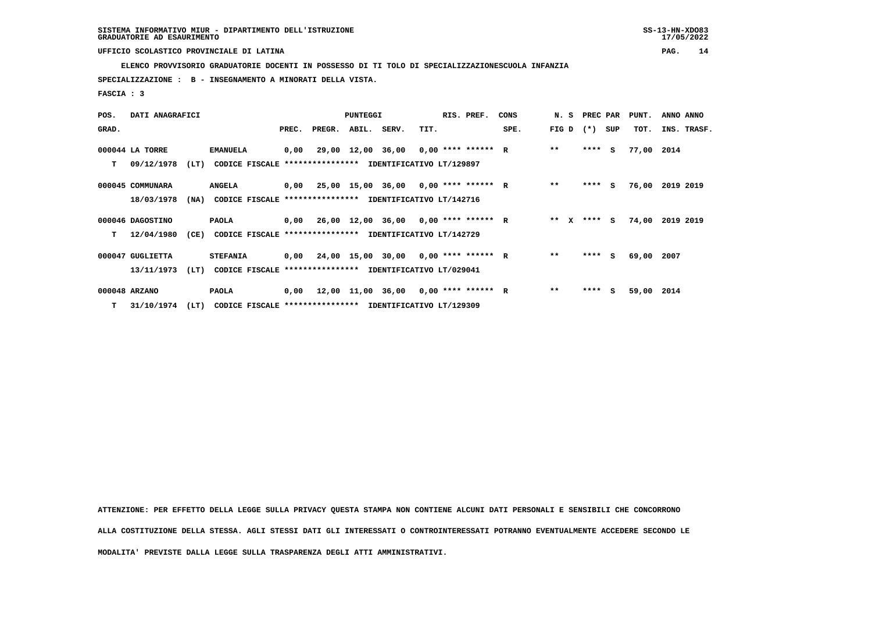**ELENCO PROVVISORIO GRADUATORIE DOCENTI IN POSSESSO DI TI TOLO DI SPECIALIZZAZIONESCUOLA INFANZIA**

 **SPECIALIZZAZIONE : B - INSEGNAMENTO A MINORATI DELLA VISTA.**

 **FASCIA : 3**

| POS.  | DATI ANAGRAFICI  |      |                                                               |       | <b>PUNTEGGI</b> |  |                                             | RIS. PREF. | CONS |      | N. S PREC PAR |         | PUNT. | ANNO ANNO  |                 |
|-------|------------------|------|---------------------------------------------------------------|-------|-----------------|--|---------------------------------------------|------------|------|------|---------------|---------|-------|------------|-----------------|
| GRAD. |                  |      |                                                               | PREC. | PREGR. ABIL.    |  | SERV.                                       | TIT.       |      | SPE. | FIG D         | $(* )$  | SUP   | TOT.       | INS. TRASF.     |
|       | 000044 LA TORRE  |      | <b>EMANUELA</b>                                               | 0,00  |                 |  | 29,00 12,00 36,00 0,00 **** ****** R        |            |      |      | $**$          | $***$ S |       | 77,00 2014 |                 |
| т     | 09/12/1978       | (LT) | CODICE FISCALE **************** IDENTIFICATIVO LT/129897      |       |                 |  |                                             |            |      |      |               |         |       |            |                 |
|       | 000045 COMMUNARA |      | <b>ANGELA</b>                                                 |       |                 |  | $0,00$ 25,00 15,00 36,00 0,00 **** ****** R |            |      |      | $**$          | $***$ S |       |            | 76,00 2019 2019 |
|       | 18/03/1978       |      | (NA) CODICE FISCALE **************** IDENTIFICATIVO LT/142716 |       |                 |  |                                             |            |      |      |               |         |       |            |                 |
|       | 000046 DAGOSTINO |      | PAOLA                                                         |       |                 |  | $0,00$ 26,00 12,00 36,00 0,00 **** ****** R |            |      |      | ** $X$        | $***$ S |       |            | 74,00 2019 2019 |
| т     | 12/04/1980       | (CE) | <b>CODICE FISCALE</b>                                         |       |                 |  | **************** IDENTIFICATIVO LT/142729   |            |      |      |               |         |       |            |                 |
|       | 000047 GUGLIETTA |      | <b>STEFANIA</b>                                               |       |                 |  | $0,00$ 24,00 15,00 30,00 0,00 **** ****** R |            |      |      | $***$         | **** S  |       | 69,00 2007 |                 |
|       | 13/11/1973       | (LT) | CODICE FISCALE **************** IDENTIFICATIVO LT/029041      |       |                 |  |                                             |            |      |      |               |         |       |            |                 |
|       | 000048 ARZANO    |      | PAOLA                                                         |       |                 |  | $0,00$ 12,00 11,00 36,00 0,00 **** ****** R |            |      |      | $***$         | ****    | S.    | 59,00 2014 |                 |
|       | T 31/10/1974     | (LT) | CODICE FISCALE **************** IDENTIFICATIVO LT/129309      |       |                 |  |                                             |            |      |      |               |         |       |            |                 |

 **ATTENZIONE: PER EFFETTO DELLA LEGGE SULLA PRIVACY QUESTA STAMPA NON CONTIENE ALCUNI DATI PERSONALI E SENSIBILI CHE CONCORRONO ALLA COSTITUZIONE DELLA STESSA. AGLI STESSI DATI GLI INTERESSATI O CONTROINTERESSATI POTRANNO EVENTUALMENTE ACCEDERE SECONDO LE**

 **MODALITA' PREVISTE DALLA LEGGE SULLA TRASPARENZA DEGLI ATTI AMMINISTRATIVI.**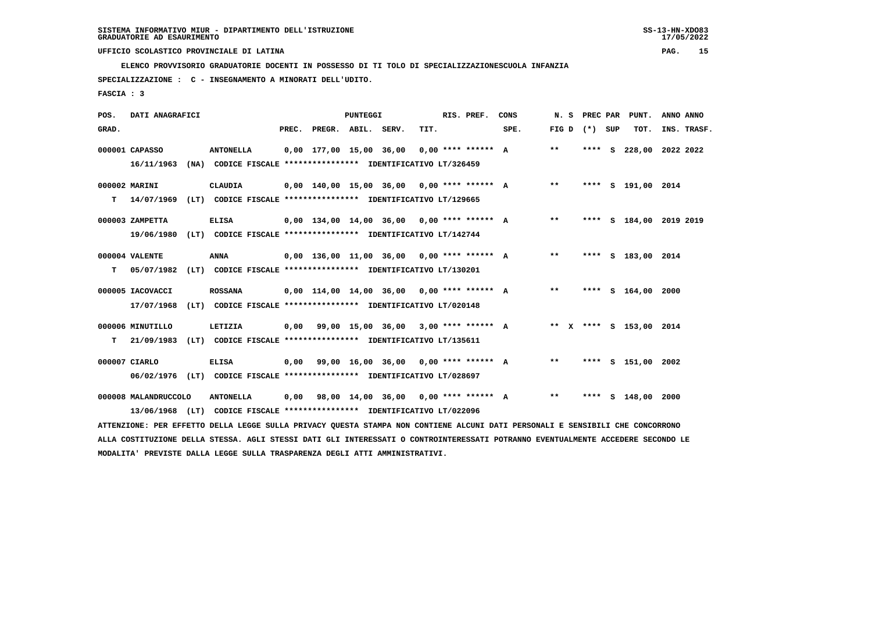**ELENCO PROVVISORIO GRADUATORIE DOCENTI IN POSSESSO DI TI TOLO DI SPECIALIZZAZIONESCUOLA INFANZIA**

 **SPECIALIZZAZIONE : C - INSEGNAMENTO A MINORATI DELL'UDITO.**

 **FASCIA : 3**

| POS.  | DATI ANAGRAFICI      |                                                                                                                               | <b>PUNTEGGI</b> |                    |  |                                              |      | RIS. PREF.           | CONS | N.S   | <b>PREC PAR</b>   | PUNT.                   | ANNO ANNO |             |
|-------|----------------------|-------------------------------------------------------------------------------------------------------------------------------|-----------------|--------------------|--|----------------------------------------------|------|----------------------|------|-------|-------------------|-------------------------|-----------|-------------|
| GRAD. |                      |                                                                                                                               | PREC.           | PREGR. ABIL. SERV. |  |                                              | TIT. |                      | SPE. |       | FIG $D$ $(*)$ SUP | тот.                    |           | INS. TRASF. |
|       | 000001 CAPASSO       | <b>ANTONELLA</b>                                                                                                              |                 |                    |  | 0,00 177,00 15,00 36,00                      |      | $0.00$ **** ****** A |      | $***$ |                   | **** S 228,00 2022 2022 |           |             |
|       | 16/11/1963           | (NA) CODICE FISCALE **************** IDENTIFICATIVO LT/326459                                                                 |                 |                    |  |                                              |      |                      |      |       |                   |                         |           |             |
|       | 000002 MARINI        | CLAUDIA                                                                                                                       |                 |                    |  | $0,00$ 140,00 15,00 36,00 0,00 **** ****** A |      |                      |      | $***$ |                   | **** S 191,00 2014      |           |             |
| T.    |                      | 14/07/1969 (LT) CODICE FISCALE **************** IDENTIFICATIVO LT/129665                                                      |                 |                    |  |                                              |      |                      |      |       |                   |                         |           |             |
|       | 000003 ZAMPETTA      | <b>ELISA</b>                                                                                                                  |                 |                    |  | $0.00$ 134,00 14,00 36,00 0,00 **** ****** A |      |                      |      | $***$ |                   | **** S 184,00 2019 2019 |           |             |
|       | 19/06/1980           | (LT) CODICE FISCALE **************** IDENTIFICATIVO LT/142744                                                                 |                 |                    |  |                                              |      |                      |      |       |                   |                         |           |             |
|       |                      |                                                                                                                               |                 |                    |  |                                              |      |                      |      |       |                   |                         |           |             |
|       | 000004 VALENTE       | <b>ANNA</b>                                                                                                                   |                 |                    |  | $0,00$ 136,00 11,00 36,00 0,00 **** ****** A |      |                      |      | $***$ |                   | **** S 183,00 2014      |           |             |
| T.    | 05/07/1982           | (LT) CODICE FISCALE **************** IDENTIFICATIVO LT/130201                                                                 |                 |                    |  |                                              |      |                      |      |       |                   |                         |           |             |
|       | 000005 IACOVACCI     | <b>ROSSANA</b>                                                                                                                |                 |                    |  | $0,00$ 114,00 14,00 36,00 0,00 **** ****** A |      |                      |      | $***$ |                   | **** S 164,00 2000      |           |             |
|       | 17/07/1968           | (LT) CODICE FISCALE **************** IDENTIFICATIVO LT/020148                                                                 |                 |                    |  |                                              |      |                      |      |       |                   |                         |           |             |
|       | 000006 MINUTILLO     | LETIZIA                                                                                                                       |                 |                    |  | $0,00$ 99,00 15,00 36,00 3,00 **** ****** A  |      |                      |      |       |                   | ** X **** S 153,00 2014 |           |             |
| т     | 21/09/1983           | (LT) CODICE FISCALE **************** IDENTIFICATIVO LT/135611                                                                 |                 |                    |  |                                              |      |                      |      |       |                   |                         |           |             |
|       |                      |                                                                                                                               |                 |                    |  |                                              |      |                      |      |       |                   |                         |           |             |
|       | 000007 CIARLO        | <b>ELISA</b>                                                                                                                  |                 |                    |  | $0.00$ 99.00 16.00 36.00 0.00 **** ****** A  |      |                      |      | $* *$ |                   | **** S 151,00 2002      |           |             |
|       |                      | 06/02/1976 (LT) CODICE FISCALE *************** IDENTIFICATIVO LT/028697                                                       |                 |                    |  |                                              |      |                      |      |       |                   |                         |           |             |
|       | 000008 MALANDRUCCOLO | <b>ANTONELLA</b>                                                                                                              | 0,00            |                    |  | 98,00 14,00 36,00 0,00 **** ****** A         |      |                      |      | $* *$ |                   | **** $S$ 148,00         | 2000      |             |
|       |                      | 13/06/1968 (LT) CODICE FISCALE **************** IDENTIFICATIVO LT/022096                                                      |                 |                    |  |                                              |      |                      |      |       |                   |                         |           |             |
|       |                      | ATTENZIONE: PER EFFETTO DELLA LEGGE SULLA PRIVACY QUESTA STAMPA NON CONTIENE ALCUNI DATI PERSONALI E SENSIBILI CHE CONCORRONO |                 |                    |  |                                              |      |                      |      |       |                   |                         |           |             |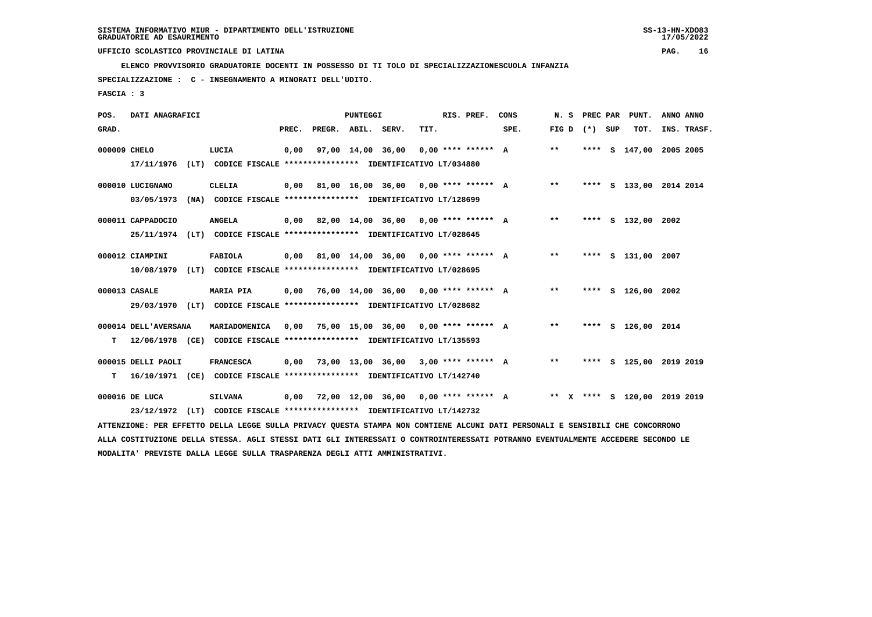**ELENCO PROVVISORIO GRADUATORIE DOCENTI IN POSSESSO DI TI TOLO DI SPECIALIZZAZIONESCUOLA INFANZIA**

 **SPECIALIZZAZIONE : C - INSEGNAMENTO A MINORATI DELL'UDITO.**

 **FASCIA : 3**

| POS.         | DATI ANAGRAFICI      |      |                                                                                                                               |       |                    | PUNTEGGI |                                             |      | RIS. PREF. | CONS                                        | N. S            |  | PREC PAR PUNT.               | ANNO ANNO |             |
|--------------|----------------------|------|-------------------------------------------------------------------------------------------------------------------------------|-------|--------------------|----------|---------------------------------------------|------|------------|---------------------------------------------|-----------------|--|------------------------------|-----------|-------------|
| GRAD.        |                      |      |                                                                                                                               | PREC. | PREGR. ABIL. SERV. |          |                                             | TIT. |            | SPE.                                        | FIG D $(*)$ SUP |  | TOT.                         |           | INS. TRASF. |
| 000009 CHELO |                      |      | LUCIA                                                                                                                         | 0,00  |                    |          | $97,00$ 14,00 36,00 0,00 **** ****** A      |      |            |                                             | $***$           |  | **** S 147,00 2005 2005      |           |             |
|              | 17/11/1976           |      | (LT) CODICE FISCALE **************** IDENTIFICATIVO LT/034880                                                                 |       |                    |          |                                             |      |            |                                             |                 |  |                              |           |             |
|              | 000010 LUCIGNANO     |      | CLELIA                                                                                                                        | 0.00  |                    |          | 81,00 16,00 36,00 0,00 **** ****** A        |      |            |                                             | $***$           |  | **** S 133,00 2014 2014      |           |             |
|              | 03/05/1973           |      | (NA) CODICE FISCALE **************** IDENTIFICATIVO LT/128699                                                                 |       |                    |          |                                             |      |            |                                             |                 |  |                              |           |             |
|              | 000011 CAPPADOCIO    |      | <b>ANGELA</b>                                                                                                                 |       |                    |          |                                             |      |            | 0,00 82,00 14,00 36,00 0,00 **** ****** A   | $**$            |  | **** S 132,00 2002           |           |             |
|              |                      |      | 25/11/1974 (LT) CODICE FISCALE *************** IDENTIFICATIVO LT/028645                                                       |       |                    |          |                                             |      |            |                                             |                 |  |                              |           |             |
|              |                      |      |                                                                                                                               |       |                    |          |                                             |      |            |                                             |                 |  |                              |           |             |
|              | 000012 CIAMPINI      |      | FABIOLA                                                                                                                       |       |                    |          |                                             |      |            | $0,00$ 81,00 14,00 36,00 0,00 **** ****** A | $***$           |  | **** S 131,00 2007           |           |             |
|              |                      |      | 10/08/1979 (LT) CODICE FISCALE *************** IDENTIFICATIVO LT/028695                                                       |       |                    |          |                                             |      |            |                                             |                 |  |                              |           |             |
|              | 000013 CASALE        |      | <b>MARIA PIA</b>                                                                                                              |       |                    |          | $0,00$ 76,00 14,00 36,00 0,00 **** ****** A |      |            |                                             | $***$           |  | **** S 126,00 2002           |           |             |
|              |                      |      | 29/03/1970 (LT) CODICE FISCALE *************** IDENTIFICATIVO LT/028682                                                       |       |                    |          |                                             |      |            |                                             |                 |  |                              |           |             |
|              |                      |      |                                                                                                                               |       |                    |          |                                             |      |            |                                             | $***$           |  | **** S 126,00 2014           |           |             |
|              | 000014 DELL'AVERSANA |      | MARIADOMENICA                                                                                                                 |       |                    |          | $0,00$ 75,00 15,00 36,00 0,00 **** ****** A |      |            |                                             |                 |  |                              |           |             |
| т            |                      |      | 12/06/1978 (CE) CODICE FISCALE *************** IDENTIFICATIVO LT/135593                                                       |       |                    |          |                                             |      |            |                                             |                 |  |                              |           |             |
|              | 000015 DELLI PAOLI   |      | <b>FRANCESCA</b>                                                                                                              | 0,00  |                    |          | 73,00 13,00 36,00 3,00 **** ****** A        |      |            |                                             | $***$           |  | **** S 125,00 2019 2019      |           |             |
| т            |                      |      | 16/10/1971 (CE) CODICE FISCALE **************** IDENTIFICATIVO LT/142740                                                      |       |                    |          |                                             |      |            |                                             |                 |  |                              |           |             |
|              | 000016 DE LUCA       |      | <b>SILVANA</b>                                                                                                                | 0,00  |                    |          | 72,00 12,00 36,00 0,00 **** ****** A        |      |            |                                             |                 |  | ** X **** S 120,00 2019 2019 |           |             |
|              | 23/12/1972           | (LT) | CODICE FISCALE **************** IDENTIFICATIVO LT/142732                                                                      |       |                    |          |                                             |      |            |                                             |                 |  |                              |           |             |
|              |                      |      | ATTENZIONE: PER EFFETTO DELLA LEGGE SULLA PRIVACY QUESTA STAMPA NON CONTIENE ALCUNI DATI PERSONALI E SENSIBILI CHE CONCORRONO |       |                    |          |                                             |      |            |                                             |                 |  |                              |           |             |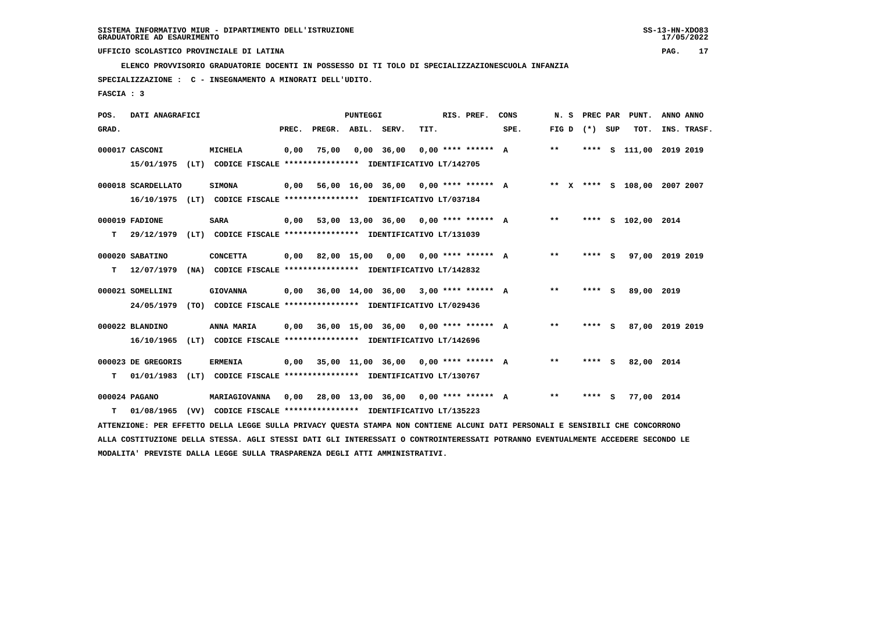**ELENCO PROVVISORIO GRADUATORIE DOCENTI IN POSSESSO DI TI TOLO DI SPECIALIZZAZIONESCUOLA INFANZIA**

 **SPECIALIZZAZIONE : C - INSEGNAMENTO A MINORATI DELL'UDITO.**

 **FASCIA : 3**

| POS.  | DATI ANAGRAFICI    |                                                                                                                               |       |                    | <b>PUNTEGGI</b> |                                             |      | RIS. PREF.           | CONS                                 | N. S  |                   | PREC PAR PUNT.               | ANNO ANNO |             |
|-------|--------------------|-------------------------------------------------------------------------------------------------------------------------------|-------|--------------------|-----------------|---------------------------------------------|------|----------------------|--------------------------------------|-------|-------------------|------------------------------|-----------|-------------|
| GRAD. |                    |                                                                                                                               | PREC. | PREGR. ABIL. SERV. |                 |                                             | TIT. |                      | SPE.                                 |       | FIG $D$ $(*)$ SUP | TOT.                         |           | INS. TRASF. |
|       | 000017 CASCONI     | MICHELA                                                                                                                       | 0,00  | 75,00              |                 | $0,00$ 36,00                                |      | $0.00$ **** ****** A |                                      | $***$ |                   | **** S 111,00 2019 2019      |           |             |
|       | 15/01/1975         | (LT) CODICE FISCALE *************** IDENTIFICATIVO LT/142705                                                                  |       |                    |                 |                                             |      |                      |                                      |       |                   |                              |           |             |
|       | 000018 SCARDELLATO | <b>SIMONA</b>                                                                                                                 | 0,00  |                    |                 | 56,00 16,00 36,00 0,00 **** ****** A        |      |                      |                                      |       |                   | ** X **** S 108,00 2007 2007 |           |             |
|       |                    | 16/10/1975 (LT) CODICE FISCALE **************** IDENTIFICATIVO LT/037184                                                      |       |                    |                 |                                             |      |                      |                                      |       |                   |                              |           |             |
|       | 000019 FADIONE     | <b>SARA</b>                                                                                                                   | 0,00  |                    |                 |                                             |      |                      | 53,00 13,00 36,00 0,00 **** ****** A | $***$ |                   | **** S 102,00 2014           |           |             |
| т     | 29/12/1979         | (LT) CODICE FISCALE **************** IDENTIFICATIVO LT/131039                                                                 |       |                    |                 |                                             |      |                      |                                      |       |                   |                              |           |             |
|       |                    |                                                                                                                               |       |                    |                 |                                             |      |                      |                                      |       |                   |                              |           |             |
|       | 000020 SABATINO    | <b>CONCETTA</b>                                                                                                               | 0.00  |                    |                 | 82,00 15,00 0,00 0,00 **** ****** A         |      |                      |                                      | $* *$ | **** S            | 97,00 2019 2019              |           |             |
| т     | 12/07/1979         | (NA) CODICE FISCALE **************** IDENTIFICATIVO LT/142832                                                                 |       |                    |                 |                                             |      |                      |                                      |       |                   |                              |           |             |
|       | 000021 SOMELLINI   | <b>GIOVANNA</b>                                                                                                               | 0,00  |                    |                 | 36,00 14,00 36,00 3,00 **** ****** A        |      |                      |                                      | $***$ | $***5$            | 89,00 2019                   |           |             |
|       | 24/05/1979         | (TO) CODICE FISCALE **************** IDENTIFICATIVO LT/029436                                                                 |       |                    |                 |                                             |      |                      |                                      |       |                   |                              |           |             |
|       |                    |                                                                                                                               |       |                    |                 |                                             |      |                      |                                      |       |                   |                              |           |             |
|       | 000022 BLANDINO    | ANNA MARIA                                                                                                                    | 0,00  |                    |                 | 36,00 15,00 36,00 0,00 **** ****** A        |      |                      |                                      | $* *$ | **** S            | 87,00 2019 2019              |           |             |
|       | 16/10/1965         | (LT) CODICE FISCALE **************** IDENTIFICATIVO LT/142696                                                                 |       |                    |                 |                                             |      |                      |                                      |       |                   |                              |           |             |
|       | 000023 DE GREGORIS | <b>ERMENIA</b>                                                                                                                |       |                    |                 | $0.00$ 35.00 11.00 36.00 0.00 **** ****** A |      |                      |                                      | **    | **** S            | 82,00 2014                   |           |             |
| т     |                    | 01/01/1983 (LT) CODICE FISCALE *************** IDENTIFICATIVO LT/130767                                                       |       |                    |                 |                                             |      |                      |                                      |       |                   |                              |           |             |
|       |                    |                                                                                                                               |       |                    |                 |                                             |      |                      |                                      |       |                   |                              |           |             |
|       | 000024 PAGANO      | MARIAGIOVANNA                                                                                                                 | 0,00  |                    |                 | 28,00 13,00 36,00 0,00 **** ****** A        |      |                      |                                      | $***$ | **** S            | 77,00 2014                   |           |             |
| т     | 01/08/1965         | (VV) CODICE FISCALE *************** IDENTIFICATIVO LT/135223                                                                  |       |                    |                 |                                             |      |                      |                                      |       |                   |                              |           |             |
|       |                    | ATTENZIONE: PER EFFETTO DELLA LEGGE SULLA PRIVACY QUESTA STAMPA NON CONTIENE ALCUNI DATI PERSONALI E SENSIBILI CHE CONCORRONO |       |                    |                 |                                             |      |                      |                                      |       |                   |                              |           |             |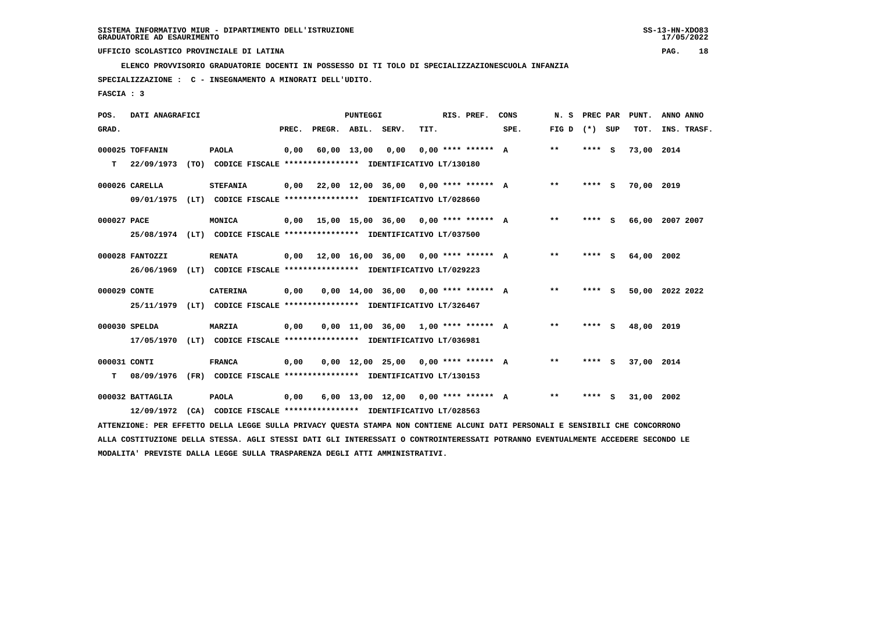**ELENCO PROVVISORIO GRADUATORIE DOCENTI IN POSSESSO DI TI TOLO DI SPECIALIZZAZIONESCUOLA INFANZIA**

 **SPECIALIZZAZIONE : C - INSEGNAMENTO A MINORATI DELL'UDITO.**

 **FASCIA : 3**

| POS.         | DATI ANAGRAFICI  |                                                                                                                               |      |                          | <b>PUNTEGGI</b>  |                                             |      | RIS. PREF.           | CONS |       | N. S PREC PAR | PUNT.           | ANNO ANNO |             |
|--------------|------------------|-------------------------------------------------------------------------------------------------------------------------------|------|--------------------------|------------------|---------------------------------------------|------|----------------------|------|-------|---------------|-----------------|-----------|-------------|
| GRAD.        |                  |                                                                                                                               |      | PREC. PREGR. ABIL. SERV. |                  |                                             | TIT. |                      | SPE. | FIG D | (*) SUP       | TOT.            |           | INS. TRASF. |
|              | 000025 TOFFANIN  | <b>PAOLA</b>                                                                                                                  | 0,00 |                          | 60,00 13,00 0,00 |                                             |      | $0.00$ **** ****** A |      | $***$ | **** S        | 73,00 2014      |           |             |
| т            | 22/09/1973       | (TO) CODICE FISCALE **************** IDENTIFICATIVO LT/130180                                                                 |      |                          |                  |                                             |      |                      |      |       |               |                 |           |             |
|              | 000026 CARELLA   | <b>STEFANIA</b>                                                                                                               |      |                          |                  | $0,00$ 22,00 12,00 36,00 0,00 **** ****** A |      |                      |      | $* *$ | $***$ S       | 70,00           | 2019      |             |
|              | 09/01/1975       | (LT) CODICE FISCALE *************** IDENTIFICATIVO LT/028660                                                                  |      |                          |                  |                                             |      |                      |      |       |               |                 |           |             |
| 000027 PACE  |                  | MONICA                                                                                                                        |      |                          |                  | $0,00$ 15,00 15,00 36,00 0,00 **** ****** A |      |                      |      | $* *$ | $***$ S       | 66,00 2007 2007 |           |             |
|              |                  | 25/08/1974 (LT) CODICE FISCALE *************** IDENTIFICATIVO LT/037500                                                       |      |                          |                  |                                             |      |                      |      |       |               |                 |           |             |
|              | 000028 FANTOZZI  | <b>RENATA</b>                                                                                                                 |      |                          |                  | $0,00$ 12,00 16,00 36,00 0,00 **** ****** A |      |                      |      | $* *$ | **** S        | 64,00           | 2002      |             |
|              | 26/06/1969       | (LT) CODICE FISCALE **************** IDENTIFICATIVO LT/029223                                                                 |      |                          |                  |                                             |      |                      |      |       |               |                 |           |             |
| 000029 CONTE |                  | <b>CATERINA</b>                                                                                                               | 0,00 |                          |                  | $0,00$ 14,00 36,00 0,00 **** ****** A       |      |                      |      | **    | **** S        | 50,00           | 2022 2022 |             |
|              | 25/11/1979       | (LT) CODICE FISCALE *************** IDENTIFICATIVO LT/326467                                                                  |      |                          |                  |                                             |      |                      |      |       |               |                 |           |             |
|              | 000030 SPELDA    | <b>MARZIA</b>                                                                                                                 | 0,00 |                          |                  | $0,00$ 11,00 36,00 1,00 **** ****** A       |      |                      |      | $***$ | **** S        | 48,00 2019      |           |             |
|              | 17/05/1970       | (LT) CODICE FISCALE **************** IDENTIFICATIVO LT/036981                                                                 |      |                          |                  |                                             |      |                      |      |       |               |                 |           |             |
| 000031 CONTI |                  | <b>FRANCA</b>                                                                                                                 | 0,00 |                          |                  | $0,00$ 12,00 25,00 0,00 **** ****** A       |      |                      |      | $* *$ | $***$ S       | 37,00 2014      |           |             |
| т            | 08/09/1976       | (FR) CODICE FISCALE **************** IDENTIFICATIVO LT/130153                                                                 |      |                          |                  |                                             |      |                      |      |       |               |                 |           |             |
|              | 000032 BATTAGLIA | <b>PAOLA</b>                                                                                                                  | 0,00 |                          |                  | $6.00$ 13.00 12.00 0.00 **** ****** A       |      |                      |      | $* *$ | **** S        | 31,00           | 2002      |             |
|              | 12/09/1972       | (CA) CODICE FISCALE **************** IDENTIFICATIVO LT/028563                                                                 |      |                          |                  |                                             |      |                      |      |       |               |                 |           |             |
|              |                  | ATTENZIONE: PER EFFETTO DELLA LEGGE SULLA PRIVACY QUESTA STAMPA NON CONTIENE ALCUNI DATI PERSONALI E SENSIBILI CHE CONCORRONO |      |                          |                  |                                             |      |                      |      |       |               |                 |           |             |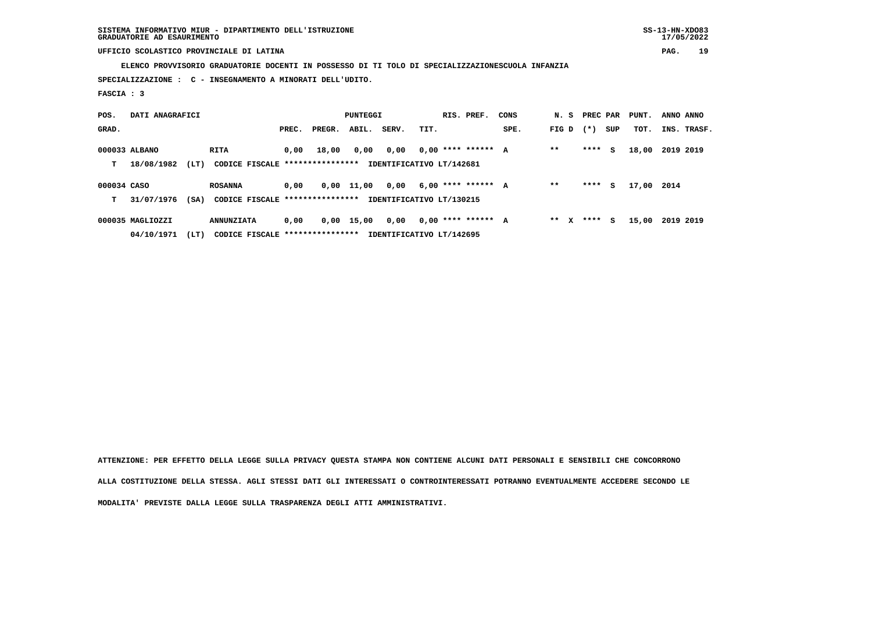**SISTEMA INFORMATIVO MIUR - DIPARTIMENTO DELL'ISTRUZIONE SS-13-HN-XDO83 GRADUATORIE AD ESAURIMENTO 17/05/2022**

 **UFFICIO SCOLASTICO PROVINCIALE DI LATINA PAG. 19**

 **ELENCO PROVVISORIO GRADUATORIE DOCENTI IN POSSESSO DI TI TOLO DI SPECIALIZZAZIONESCUOLA INFANZIA**

 **SPECIALIZZAZIONE : C - INSEGNAMENTO A MINORATI DELL'UDITO.**

 **FASCIA : 3**

| POS.        | DATI ANAGRAFICI  |      |                                 |       |        |              | PUNTEGGI                 |      | RIS. PREF.           | CONS |         | N. S PREC PAR |     | PUNT. | ANNO ANNO   |
|-------------|------------------|------|---------------------------------|-------|--------|--------------|--------------------------|------|----------------------|------|---------|---------------|-----|-------|-------------|
| GRAD.       |                  |      |                                 | PREC. | PREGR. | ABIL.        | SERV.                    | TIT. |                      | SPE. | FIG D   | $(* )$        | SUP | TOT.  | INS. TRASF. |
|             | 000033 ALBANO    |      | <b>RITA</b>                     | 0.00  | 18,00  | 0,00         | 0,00                     |      | $0.00$ **** ****** A |      | $* *$   | ****          | s   | 18,00 | 2019 2019   |
| т           | 18/08/1982       | (LT) | CODICE FISCALE **************** |       |        |              | IDENTIFICATIVO LT/142681 |      |                      |      |         |               |     |       |             |
| 000034 CASO |                  |      | <b>ROSANNA</b>                  | 0.00  |        | $0,00$ 11,00 | 0,00                     |      | $6,00$ **** ****** A |      | $* *$   | ****          | s   | 17,00 | 2014        |
| т           | 31/07/1976       | (SA) | CODICE FISCALE **************** |       |        |              | IDENTIFICATIVO LT/130215 |      |                      |      |         |               |     |       |             |
|             | 000035 MAGLIOZZI |      | <b>ANNUNZIATA</b>               | 0,00  | 0,00   | 15,00        | 0,00                     |      | $0.00$ **** ****** A |      | $***$ X | ****          | s   | 15,00 | 2019 2019   |
|             | 04/10/1971       | (LT) | CODICE FISCALE **************** |       |        |              | IDENTIFICATIVO LT/142695 |      |                      |      |         |               |     |       |             |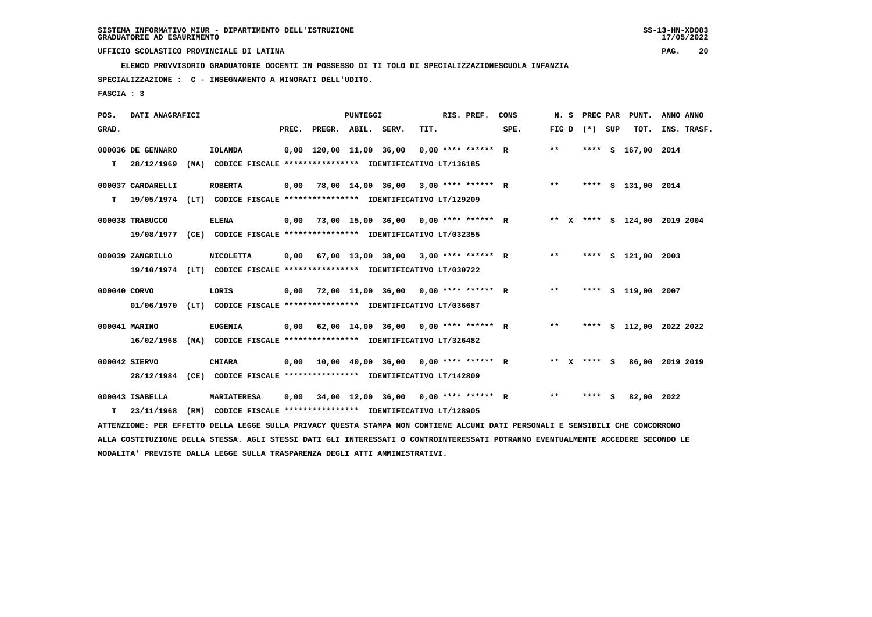**ELENCO PROVVISORIO GRADUATORIE DOCENTI IN POSSESSO DI TI TOLO DI SPECIALIZZAZIONESCUOLA INFANZIA**

 **SPECIALIZZAZIONE : C - INSEGNAMENTO A MINORATI DELL'UDITO.**

 **FASCIA : 3**

| POS.         | DATI ANAGRAFICI                                                                                                                 |                                                               |       |                         | PUNTEGGI |                                      |      | RIS. PREF.           | CONS | N. S  | PREC PAR        | PUNT.                        | ANNO ANNO |             |
|--------------|---------------------------------------------------------------------------------------------------------------------------------|---------------------------------------------------------------|-------|-------------------------|----------|--------------------------------------|------|----------------------|------|-------|-----------------|------------------------------|-----------|-------------|
| GRAD.        |                                                                                                                                 |                                                               | PREC. | PREGR. ABIL. SERV.      |          |                                      | TIT. |                      | SPE. |       | FIG D $(*)$ SUP | TOT.                         |           | INS. TRASF. |
|              | 000036 DE GENNARO                                                                                                               | IOLANDA                                                       |       | 0,00 120,00 11,00 36,00 |          |                                      |      | $0.00$ **** ****** R |      | $* *$ |                 | **** S 167,00 2014           |           |             |
| т            | 28/12/1969                                                                                                                      | (NA) CODICE FISCALE **************** IDENTIFICATIVO LT/136185 |       |                         |          |                                      |      |                      |      |       |                 |                              |           |             |
|              | 000037 CARDARELLI                                                                                                               | <b>ROBERTA</b>                                                | 0,00  |                         |          | 78,00 14,00 36,00 3,00 **** ****** R |      |                      |      | $* *$ |                 | **** S 131,00 2014           |           |             |
| т            | 19/05/1974                                                                                                                      | (LT) CODICE FISCALE **************** IDENTIFICATIVO LT/129209 |       |                         |          |                                      |      |                      |      |       |                 |                              |           |             |
|              | 000038 TRABUCCO                                                                                                                 | <b>ELENA</b>                                                  | 0,00  |                         |          | 73,00 15,00 36,00 0,00 **** ****** R |      |                      |      |       |                 | ** X **** S 124,00 2019 2004 |           |             |
|              | 19/08/1977                                                                                                                      | (CE) CODICE FISCALE **************** IDENTIFICATIVO LT/032355 |       |                         |          |                                      |      |                      |      |       |                 |                              |           |             |
|              | 000039 ZANGRILLO                                                                                                                | <b>NICOLETTA</b>                                              | 0,00  |                         |          | 67,00 13,00 38,00 3,00 **** ****** R |      |                      |      | $***$ |                 | **** S 121,00 2003           |           |             |
|              | 19/10/1974                                                                                                                      | (LT) CODICE FISCALE **************** IDENTIFICATIVO LT/030722 |       |                         |          |                                      |      |                      |      |       |                 |                              |           |             |
| 000040 CORVO |                                                                                                                                 | LORIS                                                         | 0,00  |                         |          | 72,00 11,00 36,00 0,00 **** ****** R |      |                      |      | $* *$ |                 | **** S 119,00 2007           |           |             |
|              | 01/06/1970                                                                                                                      | (LT) CODICE FISCALE **************** IDENTIFICATIVO LT/036687 |       |                         |          |                                      |      |                      |      |       |                 |                              |           |             |
|              | 000041 MARINO                                                                                                                   | <b>EUGENIA</b>                                                | 0,00  |                         |          | 62,00 14,00 36,00 0,00 **** ****** R |      |                      |      | $***$ |                 | **** S 112,00 2022 2022      |           |             |
|              | 16/02/1968                                                                                                                      | (NA) CODICE FISCALE **************** IDENTIFICATIVO LT/326482 |       |                         |          |                                      |      |                      |      |       |                 |                              |           |             |
|              | 000042 SIERVO                                                                                                                   | <b>CHIARA</b>                                                 | 0,00  |                         |          | 10,00 40,00 36,00 0,00 **** ****** R |      |                      |      |       | ** x **** s     | 86,00 2019 2019              |           |             |
|              | 28/12/1984 (CE) CODICE FISCALE *************** IDENTIFICATIVO LT/142809                                                         |                                                               |       |                         |          |                                      |      |                      |      |       |                 |                              |           |             |
|              | 000043 ISABELLA                                                                                                                 | <b>MARIATERESA</b>                                            | 0,00  |                         |          | 34,00 12,00 36,00 0,00 **** ****** R |      |                      |      | $* *$ | **** S          | 82,00 2022                   |           |             |
| т            | 23/11/1968                                                                                                                      | (RM) CODICE FISCALE **************** IDENTIFICATIVO LT/128905 |       |                         |          |                                      |      |                      |      |       |                 |                              |           |             |
|              | ATTENZIONE: PER EFFETTO DELLA LEGGE SULLA PRIVACY QUESTA STAMPA NON CONTIENE ALCUNI DATI PERSONALI E SENSIBILI CHE CONCORRONO   |                                                               |       |                         |          |                                      |      |                      |      |       |                 |                              |           |             |
|              | ALLA COSTITUZIONE DELLA STESSA. AGLI STESSI DATI GLI INTERESSATI O CONTROINTERESSATI POTRANNO EVENTUALMENTE ACCEDERE SECONDO LE |                                                               |       |                         |          |                                      |      |                      |      |       |                 |                              |           |             |

 **MODALITA' PREVISTE DALLA LEGGE SULLA TRASPARENZA DEGLI ATTI AMMINISTRATIVI.**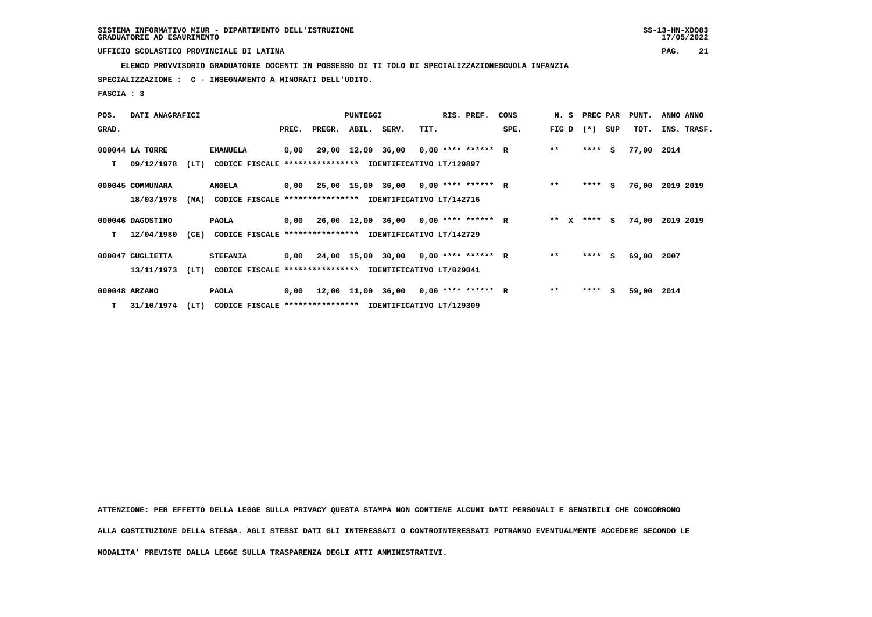**ELENCO PROVVISORIO GRADUATORIE DOCENTI IN POSSESSO DI TI TOLO DI SPECIALIZZAZIONESCUOLA INFANZIA**

 **SPECIALIZZAZIONE : C - INSEGNAMENTO A MINORATI DELL'UDITO.**

 **FASCIA : 3**

| POS.  | DATI ANAGRAFICI  |      |                                                               |       | <b>PUNTEGGI</b> |  |                                             | RIS. PREF. | CONS |      | N. S PREC PAR |         | PUNT. | ANNO ANNO  |                 |
|-------|------------------|------|---------------------------------------------------------------|-------|-----------------|--|---------------------------------------------|------------|------|------|---------------|---------|-------|------------|-----------------|
| GRAD. |                  |      |                                                               | PREC. | PREGR. ABIL.    |  | SERV.                                       | TIT.       |      | SPE. | FIG D         | $(* )$  | SUP   | TOT.       | INS. TRASF.     |
|       | 000044 LA TORRE  |      | <b>EMANUELA</b>                                               | 0,00  |                 |  | 29,00 12,00 36,00 0,00 **** ****** R        |            |      |      | $**$          | $***$ S |       | 77,00 2014 |                 |
| т     | 09/12/1978       | (LT) | CODICE FISCALE **************** IDENTIFICATIVO LT/129897      |       |                 |  |                                             |            |      |      |               |         |       |            |                 |
|       | 000045 COMMUNARA |      | <b>ANGELA</b>                                                 |       |                 |  | $0,00$ 25,00 15,00 36,00 0,00 **** ****** R |            |      |      | $**$          | $***$ S |       |            | 76,00 2019 2019 |
|       | 18/03/1978       |      | (NA) CODICE FISCALE **************** IDENTIFICATIVO LT/142716 |       |                 |  |                                             |            |      |      |               |         |       |            |                 |
|       | 000046 DAGOSTINO |      | PAOLA                                                         |       |                 |  | $0,00$ 26,00 12,00 36,00 0,00 **** ****** R |            |      |      | ** $X$        | $***$ S |       |            | 74,00 2019 2019 |
| т     | 12/04/1980       | (CE) | <b>CODICE FISCALE</b>                                         |       |                 |  | **************** IDENTIFICATIVO LT/142729   |            |      |      |               |         |       |            |                 |
|       | 000047 GUGLIETTA |      | <b>STEFANIA</b>                                               |       |                 |  | $0,00$ 24,00 15,00 30,00 0,00 **** ****** R |            |      |      | $***$         | **** S  |       | 69,00 2007 |                 |
|       | 13/11/1973       | (LT) | CODICE FISCALE **************** IDENTIFICATIVO LT/029041      |       |                 |  |                                             |            |      |      |               |         |       |            |                 |
|       | 000048 ARZANO    |      | PAOLA                                                         |       |                 |  | $0,00$ 12,00 11,00 36,00 0,00 **** ****** R |            |      |      | $***$         | ****    | S.    | 59,00 2014 |                 |
|       | T 31/10/1974     | (LT) | CODICE FISCALE **************** IDENTIFICATIVO LT/129309      |       |                 |  |                                             |            |      |      |               |         |       |            |                 |

 **ATTENZIONE: PER EFFETTO DELLA LEGGE SULLA PRIVACY QUESTA STAMPA NON CONTIENE ALCUNI DATI PERSONALI E SENSIBILI CHE CONCORRONO ALLA COSTITUZIONE DELLA STESSA. AGLI STESSI DATI GLI INTERESSATI O CONTROINTERESSATI POTRANNO EVENTUALMENTE ACCEDERE SECONDO LE**

 **MODALITA' PREVISTE DALLA LEGGE SULLA TRASPARENZA DEGLI ATTI AMMINISTRATIVI.**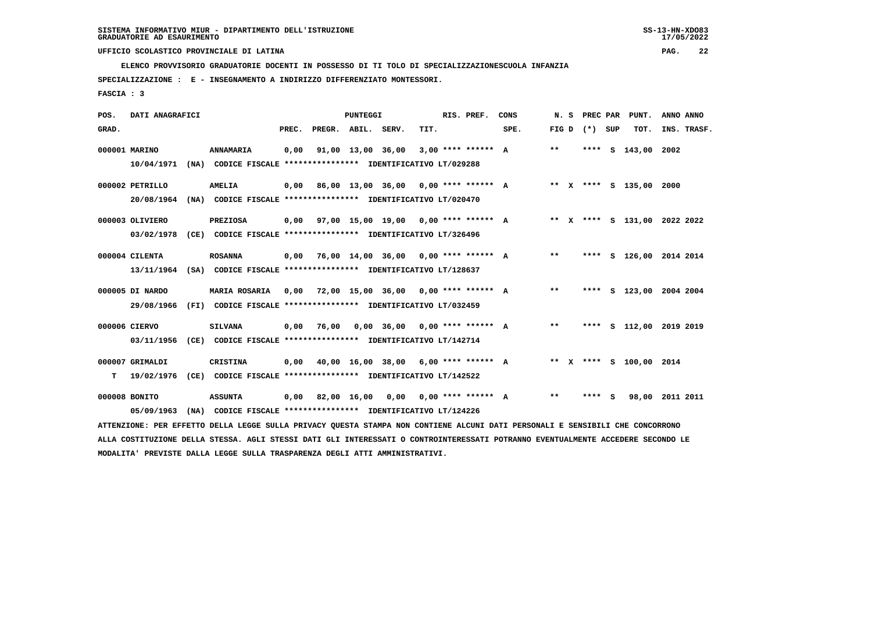**ELENCO PROVVISORIO GRADUATORIE DOCENTI IN POSSESSO DI TI TOLO DI SPECIALIZZAZIONESCUOLA INFANZIA**

 **SPECIALIZZAZIONE : E - INSEGNAMENTO A INDIRIZZO DIFFERENZIATO MONTESSORI.**

 **FASCIA : 3**

|            |                                                                                                                                                             |                               |                                    |              |      |                                                                                |  | CONS                                                                                                                                                                                                                                                                                                                                                                                                                                                                                                                                                     |                                                                                                                                                                                                                                                                                                            |       |     | PUNT.  | ANNO ANNO                                                                                                                                                                                                                                                                                                                                                               |
|------------|-------------------------------------------------------------------------------------------------------------------------------------------------------------|-------------------------------|------------------------------------|--------------|------|--------------------------------------------------------------------------------|--|----------------------------------------------------------------------------------------------------------------------------------------------------------------------------------------------------------------------------------------------------------------------------------------------------------------------------------------------------------------------------------------------------------------------------------------------------------------------------------------------------------------------------------------------------------|------------------------------------------------------------------------------------------------------------------------------------------------------------------------------------------------------------------------------------------------------------------------------------------------------------|-------|-----|--------|-------------------------------------------------------------------------------------------------------------------------------------------------------------------------------------------------------------------------------------------------------------------------------------------------------------------------------------------------------------------------|
|            |                                                                                                                                                             |                               | PREC.                              |              |      | TIT.                                                                           |  | SPE.                                                                                                                                                                                                                                                                                                                                                                                                                                                                                                                                                     |                                                                                                                                                                                                                                                                                                            |       |     |        | INS. TRASF.                                                                                                                                                                                                                                                                                                                                                             |
|            |                                                                                                                                                             | <b>ANNAMARIA</b>              | 0,00                               |              |      |                                                                                |  |                                                                                                                                                                                                                                                                                                                                                                                                                                                                                                                                                          | $***$                                                                                                                                                                                                                                                                                                      |       |     |        | 2002                                                                                                                                                                                                                                                                                                                                                                    |
| 10/04/1971 |                                                                                                                                                             |                               |                                    |              |      |                                                                                |  |                                                                                                                                                                                                                                                                                                                                                                                                                                                                                                                                                          |                                                                                                                                                                                                                                                                                                            |       |     |        |                                                                                                                                                                                                                                                                                                                                                                         |
|            |                                                                                                                                                             | <b>AMELIA</b>                 |                                    |              |      |                                                                                |  |                                                                                                                                                                                                                                                                                                                                                                                                                                                                                                                                                          |                                                                                                                                                                                                                                                                                                            |       |     |        |                                                                                                                                                                                                                                                                                                                                                                         |
|            |                                                                                                                                                             |                               |                                    |              |      |                                                                                |  |                                                                                                                                                                                                                                                                                                                                                                                                                                                                                                                                                          |                                                                                                                                                                                                                                                                                                            |       |     |        |                                                                                                                                                                                                                                                                                                                                                                         |
|            |                                                                                                                                                             | <b>PREZIOSA</b>               |                                    |              |      |                                                                                |  |                                                                                                                                                                                                                                                                                                                                                                                                                                                                                                                                                          |                                                                                                                                                                                                                                                                                                            |       |     |        |                                                                                                                                                                                                                                                                                                                                                                         |
| 03/02/1978 |                                                                                                                                                             |                               |                                    |              |      |                                                                                |  |                                                                                                                                                                                                                                                                                                                                                                                                                                                                                                                                                          |                                                                                                                                                                                                                                                                                                            |       |     |        |                                                                                                                                                                                                                                                                                                                                                                         |
|            |                                                                                                                                                             | <b>ROSANNA</b>                |                                    |              |      |                                                                                |  |                                                                                                                                                                                                                                                                                                                                                                                                                                                                                                                                                          | $***$                                                                                                                                                                                                                                                                                                      |       |     |        |                                                                                                                                                                                                                                                                                                                                                                         |
|            |                                                                                                                                                             |                               |                                    |              |      |                                                                                |  |                                                                                                                                                                                                                                                                                                                                                                                                                                                                                                                                                          |                                                                                                                                                                                                                                                                                                            |       |     |        |                                                                                                                                                                                                                                                                                                                                                                         |
|            |                                                                                                                                                             | MARIA ROSARIA                 | 0,00                               |              |      |                                                                                |  |                                                                                                                                                                                                                                                                                                                                                                                                                                                                                                                                                          | $* *$                                                                                                                                                                                                                                                                                                      |       |     |        |                                                                                                                                                                                                                                                                                                                                                                         |
| 29/08/1966 |                                                                                                                                                             |                               |                                    |              |      |                                                                                |  |                                                                                                                                                                                                                                                                                                                                                                                                                                                                                                                                                          |                                                                                                                                                                                                                                                                                                            |       |     |        |                                                                                                                                                                                                                                                                                                                                                                         |
|            |                                                                                                                                                             | <b>SILVANA</b>                |                                    | 76,00        |      |                                                                                |  |                                                                                                                                                                                                                                                                                                                                                                                                                                                                                                                                                          | $***$                                                                                                                                                                                                                                                                                                      |       |     |        |                                                                                                                                                                                                                                                                                                                                                                         |
| 03/11/1956 |                                                                                                                                                             |                               |                                    |              |      |                                                                                |  |                                                                                                                                                                                                                                                                                                                                                                                                                                                                                                                                                          |                                                                                                                                                                                                                                                                                                            |       |     |        |                                                                                                                                                                                                                                                                                                                                                                         |
|            |                                                                                                                                                             |                               |                                    |              |      |                                                                                |  |                                                                                                                                                                                                                                                                                                                                                                                                                                                                                                                                                          |                                                                                                                                                                                                                                                                                                            |       |     |        |                                                                                                                                                                                                                                                                                                                                                                         |
| 19/02/1976 |                                                                                                                                                             |                               |                                    |              |      |                                                                                |  |                                                                                                                                                                                                                                                                                                                                                                                                                                                                                                                                                          |                                                                                                                                                                                                                                                                                                            |       |     |        |                                                                                                                                                                                                                                                                                                                                                                         |
|            |                                                                                                                                                             |                               |                                    |              |      |                                                                                |  |                                                                                                                                                                                                                                                                                                                                                                                                                                                                                                                                                          |                                                                                                                                                                                                                                                                                                            |       |     |        | 2011 2011                                                                                                                                                                                                                                                                                                                                                               |
|            |                                                                                                                                                             |                               |                                    |              |      |                                                                                |  |                                                                                                                                                                                                                                                                                                                                                                                                                                                                                                                                                          |                                                                                                                                                                                                                                                                                                            |       |     |        |                                                                                                                                                                                                                                                                                                                                                                         |
|            |                                                                                                                                                             |                               |                                    |              |      |                                                                                |  |                                                                                                                                                                                                                                                                                                                                                                                                                                                                                                                                                          |                                                                                                                                                                                                                                                                                                            |       |     |        |                                                                                                                                                                                                                                                                                                                                                                         |
|            | 000001 MARINO<br>000002 PETRILLO<br>000003 OLIVIERO<br>000004 CILENTA<br>000005 DI NARDO<br>000006 CIERVO<br>000007 GRIMALDI<br>000008 BONITO<br>05/09/1963 | DATI ANAGRAFICI<br>20/08/1964 | (CE)<br>CRISTINA<br><b>ASSUNTA</b> | 0,00<br>0,00 | 0,00 | <b>PUNTEGGI</b><br>PREGR. ABIL. SERV.<br>91,00 13,00 36,00<br>82,00 16,00 0,00 |  | RIS. PREF.<br>(NA) CODICE FISCALE **************** IDENTIFICATIVO LT/029288<br>(NA) CODICE FISCALE **************** IDENTIFICATIVO LT/020470<br>(CE) CODICE FISCALE **************** IDENTIFICATIVO LT/326496<br>13/11/1964 (SA) CODICE FISCALE **************** IDENTIFICATIVO LT/128637<br>(FI) CODICE FISCALE **************** IDENTIFICATIVO LT/032459<br>CODICE FISCALE **************** IDENTIFICATIVO LT/142714<br>(CE) CODICE FISCALE **************** IDENTIFICATIVO LT/142522<br>(NA) CODICE FISCALE **************** IDENTIFICATIVO LT/124226 | 3,00 **** ****** A<br>$0,00$ 86,00 13,00 36,00 0,00 **** ****** A<br>$0,00$ 97,00 15,00 19,00 0,00 **** ****** A<br>$0,00$ 76,00 14,00 36,00 0,00 **** ****** A<br>72,00 15,00 36,00 0,00 **** ****** A<br>$0.00$ 36,00 0.00 **** ****** A<br>40,00 16,00 38,00 6,00 **** ****** A<br>$0.00$ **** ****** A | $***$ | N.S | **** S | PREC PAR<br>FIG $D$ $(*)$ SUP<br>TOT.<br>**** S 143,00<br>** X **** S 135,00 2000<br>** X **** S 131,00 2022 2022<br>**** S 126,00 2014 2014<br>**** S 123,00 2004 2004<br>**** S 112,00 2019 2019<br>** X **** S 100,00 2014<br>98,00<br>ATTENZIONE: PER EFFETTO DELLA LEGGE SULLA PRIVACY QUESTA STAMPA NON CONTIENE ALCUNI DATI PERSONALI E SENSIBILI CHE CONCORRONO |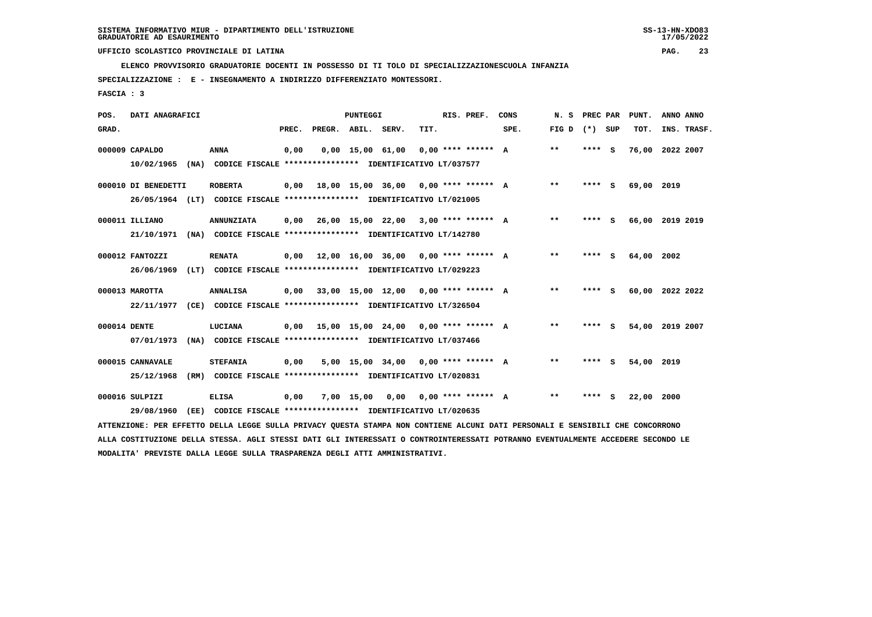**ELENCO PROVVISORIO GRADUATORIE DOCENTI IN POSSESSO DI TI TOLO DI SPECIALIZZAZIONESCUOLA INFANZIA**

 **SPECIALIZZAZIONE : E - INSEGNAMENTO A INDIRIZZO DIFFERENZIATO MONTESSORI.**

 **FASCIA : 3**

| POS.         | DATI ANAGRAFICI     |      |                                                                         |       |                    | PUNTEGGI   |                                                    |      | RIS. PREF.           | CONS | N. S  | PREC PAR |     | PUNT.           | ANNO ANNO |             |
|--------------|---------------------|------|-------------------------------------------------------------------------|-------|--------------------|------------|----------------------------------------------------|------|----------------------|------|-------|----------|-----|-----------------|-----------|-------------|
| GRAD.        |                     |      |                                                                         | PREC. | PREGR. ABIL. SERV. |            |                                                    | TIT. |                      | SPE. | FIG D | (*) SUP  |     | TOT.            |           | INS. TRASF. |
|              | 000009 CAPALDO      |      | <b>ANNA</b>                                                             | 0,00  |                    |            | $0.00$ 15.00 61.00 0.00 **** ****** A              |      |                      |      | **    | $***$ S  |     | 76,00 2022 2007 |           |             |
|              | 10/02/1965          |      | (NA) CODICE FISCALE **************** IDENTIFICATIVO LT/037577           |       |                    |            |                                                    |      |                      |      |       |          |     |                 |           |             |
|              | 000010 DI BENEDETTI |      | <b>ROBERTA</b>                                                          | 0,00  |                    |            | $18.00$ $15.00$ $36.00$ $0.00$ $***$ **** ****** A |      |                      |      | $**$  | ****     | - S | 69,00 2019      |           |             |
|              |                     |      | 26/05/1964 (LT) CODICE FISCALE *************** IDENTIFICATIVO LT/021005 |       |                    |            |                                                    |      |                      |      |       |          |     |                 |           |             |
|              | 000011 ILLIANO      |      | <b>ANNUNZIATA</b>                                                       | 0,00  |                    |            | $26,00$ 15,00 22,00 3,00 **** ****** A             |      |                      |      | $* *$ | ****     | - S | 66,00 2019 2019 |           |             |
|              | 21/10/1971          | (NA) | CODICE FISCALE **************** IDENTIFICATIVO LT/142780                |       |                    |            |                                                    |      |                      |      |       |          |     |                 |           |             |
|              | 000012 FANTOZZI     |      | <b>RENATA</b>                                                           | 0.00  | 12,00 16,00 36,00  |            |                                                    |      | $0.00*********$ A    |      | $* *$ | ****     | - 5 | 64,00           | 2002      |             |
|              | 26/06/1969          | (LT) | CODICE FISCALE **************** IDENTIFICATIVO LT/029223                |       |                    |            |                                                    |      |                      |      |       |          |     |                 |           |             |
|              | 000013 MAROTTA      |      | <b>ANNALISA</b>                                                         | 0.00  |                    |            | 33,00 15,00 12,00 0,00 **** ****** A               |      |                      |      | $* *$ | ****     | - 5 | 60,00           | 2022 2022 |             |
|              | 22/11/1977          |      | (CE) CODICE FISCALE **************** IDENTIFICATIVO LT/326504           |       |                    |            |                                                    |      |                      |      |       |          |     |                 |           |             |
| 000014 DENTE |                     |      | LUCIANA                                                                 |       |                    |            | $0.00$ 15.00 15.00 24.00 0.00 **** ****** A        |      |                      |      | $**$  | ****     | - 5 | 54,00           | 2019 2007 |             |
|              | 07/01/1973          |      | (NA) CODICE FISCALE **************** IDENTIFICATIVO LT/037466           |       |                    |            |                                                    |      |                      |      |       |          |     |                 |           |             |
|              | 000015 CANNAVALE    |      | <b>STEFANIA</b>                                                         | 0,00  |                    |            | $5.00$ 15.00 34.00 0.00 **** ****** A              |      |                      |      | $* *$ | ****     | S.  | 54,00 2019      |           |             |
|              | 25/12/1968          | (RM) | CODICE FISCALE **************** IDENTIFICATIVO LT/020831                |       |                    |            |                                                    |      |                      |      |       |          |     |                 |           |             |
|              | 000016 SULPIZI      |      | <b>ELISA</b>                                                            | 0,00  |                    | 7,00 15,00 | 0,00                                               |      | $0.00$ **** ****** A |      | $* *$ | ****     | - S | 22,00 2000      |           |             |
|              | 29/08/1960          | (EE) | CODICE FISCALE **************** IDENTIFICATIVO LT/020635                |       |                    |            |                                                    |      |                      |      |       |          |     |                 |           |             |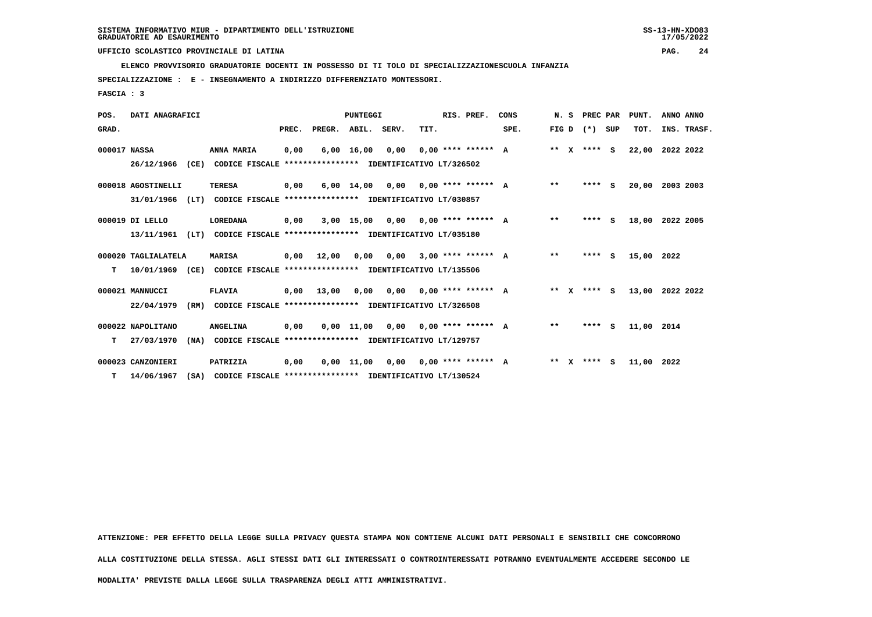**ELENCO PROVVISORIO GRADUATORIE DOCENTI IN POSSESSO DI TI TOLO DI SPECIALIZZAZIONESCUOLA INFANZIA**

 **SPECIALIZZAZIONE : E - INSEGNAMENTO A INDIRIZZO DIFFERENZIATO MONTESSORI.**

 **FASCIA : 3**

| POS.         | DATI ANAGRAFICI     |      |                                                          |       | <b>PUNTEGGI</b>                           |                    |                                      |                             | RIS. PREF.           | CONS | N.S   |              | PREC PAR        |          | PUNT.      | ANNO ANNO   |  |
|--------------|---------------------|------|----------------------------------------------------------|-------|-------------------------------------------|--------------------|--------------------------------------|-----------------------------|----------------------|------|-------|--------------|-----------------|----------|------------|-------------|--|
| GRAD.        |                     |      |                                                          | PREC. | PREGR. ABIL. SERV.                        |                    |                                      | TIT.                        |                      | SPE. |       |              | FIG D $(*)$ SUP |          | TOT.       | INS. TRASF. |  |
| 000017 NASSA |                     |      | <b>ANNA MARIA</b>                                        | 0,00  |                                           | $6,00 \quad 16,00$ | 0,00                                 |                             | $0.00$ **** ****** A |      | $* *$ | $\mathbf{x}$ | **** S          |          | 22,00      | 2022 2022   |  |
|              | 26/12/1966          | (CE) | CODICE FISCALE                                           |       | **************** IDENTIFICATIVO LT/326502 |                    |                                      |                             |                      |      |       |              |                 |          |            |             |  |
|              | 000018 AGOSTINELLI  |      | <b>TERESA</b>                                            | 0,00  |                                           | $6,00 \quad 14,00$ | 0,00                                 |                             | $0.00$ **** ****** A |      | $***$ |              | ****            | <b>S</b> | 20,00      | 2003 2003   |  |
|              | 31/01/1966          | (LT) | CODICE FISCALE **************** IDENTIFICATIVO LT/030857 |       |                                           |                    |                                      |                             |                      |      |       |              |                 |          |            |             |  |
|              | 000019 DI LELLO     |      | <b>LOREDANA</b>                                          | 0,00  |                                           | $3,00$ 15,00       | 0,00                                 |                             | $0.00$ **** ****** A |      | $* *$ |              | ****            | <b>S</b> | 18,00      | 2022 2005   |  |
|              | 13/11/1961          | (LT) | CODICE FISCALE **************** IDENTIFICATIVO LT/035180 |       |                                           |                    |                                      |                             |                      |      |       |              |                 |          |            |             |  |
|              | 000020 TAGLIALATELA |      | <b>MARISA</b>                                            | 0,00  | 12,00                                     | 0.00               | 0,00                                 |                             | $3.00$ **** ****** A |      | $* *$ |              | ****            | - S      | 15,00      | 2022        |  |
| т            | 10/01/1969          | (CE) | CODICE FISCALE **************** IDENTIFICATIVO LT/135506 |       |                                           |                    |                                      |                             |                      |      |       |              |                 |          |            |             |  |
|              | 000021 MANNUCCI     |      | <b>FLAVIA</b>                                            | 0,00  | 13,00                                     | 0.00               |                                      | $0,00$ $0,00$ **** ****** A |                      |      | $***$ | $\mathbf{x}$ | **** S          |          | 13,00      | 2022 2022   |  |
|              | 22/04/1979          | (RM) | CODICE FISCALE **************** IDENTIFICATIVO LT/326508 |       |                                           |                    |                                      |                             |                      |      |       |              |                 |          |            |             |  |
|              | 000022 NAPOLITANO   |      | <b>ANGELINA</b>                                          | 0,00  |                                           | $0.00$ 11.00       |                                      | $0.00$ $0.00$ **** ****** A |                      |      | $* *$ |              | ****            | - S      | 11,00 2014 |             |  |
| т            | 27/03/1970          | (NA) | CODICE FISCALE **************** IDENTIFICATIVO LT/129757 |       |                                           |                    |                                      |                             |                      |      |       |              |                 |          |            |             |  |
|              | 000023 CANZONIERI   |      | PATRIZIA                                                 | 0,00  |                                           |                    | $0,00$ 11,00 0,00 0,00 **** ****** A |                             |                      |      | $***$ | $\mathbf{x}$ | **** S          |          | 11,00 2022 |             |  |
| т            | 14/06/1967          | (SA) | CODICE FISCALE **************** IDENTIFICATIVO LT/130524 |       |                                           |                    |                                      |                             |                      |      |       |              |                 |          |            |             |  |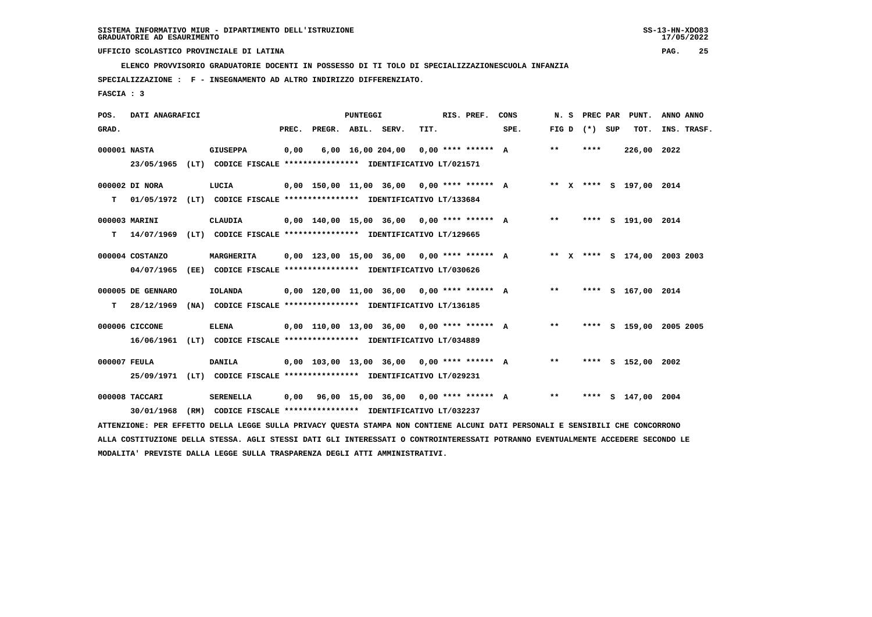**ELENCO PROVVISORIO GRADUATORIE DOCENTI IN POSSESSO DI TI TOLO DI SPECIALIZZAZIONESCUOLA INFANZIA**

 **SPECIALIZZAZIONE : F - INSEGNAMENTO AD ALTRO INDIRIZZO DIFFERENZIATO.**

 **FASCIA : 3**

| POS.  | DATI ANAGRAFICI   |      |                                                                                                                               |       |                    | PUNTEGGI |                                              |      | RIS. PREF.           | CONS | N.S   | PREC PAR          | PUNT.                        | ANNO ANNO   |  |
|-------|-------------------|------|-------------------------------------------------------------------------------------------------------------------------------|-------|--------------------|----------|----------------------------------------------|------|----------------------|------|-------|-------------------|------------------------------|-------------|--|
| GRAD. |                   |      |                                                                                                                               | PREC. | PREGR. ABIL. SERV. |          |                                              | TIT. |                      | SPE. |       | FIG $D$ $(*)$ SUP | TOT.                         | INS. TRASF. |  |
|       | 000001 NASTA      |      | <b>GIUSEPPA</b>                                                                                                               | 0,00  |                    |          | 6,00 16,00 204,00                            |      | $0.00$ **** ****** A |      | $***$ | ****              | 226,00 2022                  |             |  |
|       |                   |      | 23/05/1965 (LT) CODICE FISCALE *************** IDENTIFICATIVO LT/021571                                                       |       |                    |          |                                              |      |                      |      |       |                   |                              |             |  |
|       | 000002 DI NORA    |      | LUCIA                                                                                                                         |       |                    |          | $0,00$ 150,00 11,00 36,00 0,00 **** ****** A |      |                      |      |       |                   | ** X **** S 197,00 2014      |             |  |
| T.    |                   |      | 01/05/1972 (LT) CODICE FISCALE **************** IDENTIFICATIVO LT/133684                                                      |       |                    |          |                                              |      |                      |      |       |                   |                              |             |  |
|       | 000003 MARINI     |      | CLAUDIA                                                                                                                       |       |                    |          | 0,00 140,00 15,00 36,00 0,00 **** ****** A   |      |                      |      | $***$ |                   | **** S 191,00 2014           |             |  |
| т     |                   |      | 14/07/1969 (LT) CODICE FISCALE **************** IDENTIFICATIVO LT/129665                                                      |       |                    |          |                                              |      |                      |      |       |                   |                              |             |  |
|       | 000004 COSTANZO   |      | MARGHERITA                                                                                                                    |       |                    |          | $0.00$ 123.00 15.00 36.00 0.00 **** ****** A |      |                      |      |       |                   | ** X **** S 174,00 2003 2003 |             |  |
|       | 04/07/1965        |      | (EE) CODICE FISCALE **************** IDENTIFICATIVO LT/030626                                                                 |       |                    |          |                                              |      |                      |      |       |                   |                              |             |  |
|       | 000005 DE GENNARO |      | <b>IOLANDA</b>                                                                                                                |       |                    |          | $0,00$ 120,00 11,00 36,00 0,00 **** ****** A |      |                      |      | $***$ |                   | **** S 167,00 2014           |             |  |
| т     | 28/12/1969        |      | (NA) CODICE FISCALE **************** IDENTIFICATIVO LT/136185                                                                 |       |                    |          |                                              |      |                      |      |       |                   |                              |             |  |
|       | 000006 CICCONE    |      | <b>ELENA</b>                                                                                                                  |       |                    |          | $0,00$ 110,00 13,00 36,00 0,00 **** ****** A |      |                      |      | $***$ |                   | **** S 159,00 2005 2005      |             |  |
|       | 16/06/1961        |      | (LT) CODICE FISCALE **************** IDENTIFICATIVO LT/034889                                                                 |       |                    |          |                                              |      |                      |      |       |                   |                              |             |  |
|       | 000007 FEULA      |      | DANILA                                                                                                                        |       |                    |          | $0,00$ 103,00 13,00 36,00 0,00 **** ****** A |      |                      |      | $***$ |                   | **** S 152,00 2002           |             |  |
|       | 25/09/1971        |      | (LT) CODICE FISCALE **************** IDENTIFICATIVO LT/029231                                                                 |       |                    |          |                                              |      |                      |      |       |                   |                              |             |  |
|       | 000008 TACCARI    |      | <b>SERENELLA</b>                                                                                                              | 0,00  |                    |          | 96,00 15,00 36,00 0,00 **** ****** A         |      |                      |      | $***$ |                   | **** S 147,00 2004           |             |  |
|       | 30/01/1968        | (RM) | CODICE FISCALE **************** IDENTIFICATIVO LT/032237                                                                      |       |                    |          |                                              |      |                      |      |       |                   |                              |             |  |
|       |                   |      | ATTENZIONE: PER EFFETTO DELLA LEGGE SULLA PRIVACY QUESTA STAMPA NON CONTIENE ALCUNI DATI PERSONALI E SENSIBILI CHE CONCORRONO |       |                    |          |                                              |      |                      |      |       |                   |                              |             |  |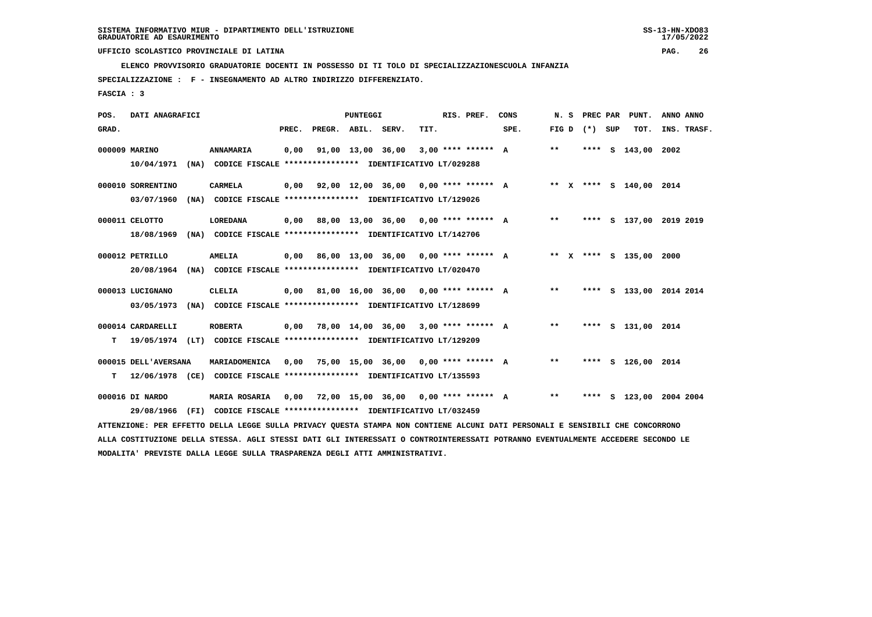**ELENCO PROVVISORIO GRADUATORIE DOCENTI IN POSSESSO DI TI TOLO DI SPECIALIZZAZIONESCUOLA INFANZIA**

 **SPECIALIZZAZIONE : F - INSEGNAMENTO AD ALTRO INDIRIZZO DIFFERENZIATO.**

 **FASCIA : 3**

| POS.  | DATI ANAGRAFICI                 |                                                                                                                                                                                                                        |       |                    | <b>PUNTEGGI</b> |                                             |      | RIS. PREF.           | CONS                                      | N.S   |                   | PREC PAR PUNT.          | ANNO ANNO               |
|-------|---------------------------------|------------------------------------------------------------------------------------------------------------------------------------------------------------------------------------------------------------------------|-------|--------------------|-----------------|---------------------------------------------|------|----------------------|-------------------------------------------|-------|-------------------|-------------------------|-------------------------|
| GRAD. |                                 |                                                                                                                                                                                                                        | PREC. | PREGR. ABIL. SERV. |                 |                                             | TIT. |                      | SPE.                                      |       | FIG $D$ $(*)$ SUP | TOT.                    | INS. TRASF.             |
|       | 000009 MARINO<br>10/04/1971     | ANNAMARIA<br>(NA) CODICE FISCALE **************** IDENTIFICATIVO LT/029288                                                                                                                                             | 0,00  |                    |                 | 91,00 13,00 36,00                           |      | $3.00$ **** ****** A |                                           | $***$ |                   | **** S 143,00 2002      |                         |
|       | 000010 SORRENTINO<br>03/07/1960 | <b>CARMELA</b><br>(NA) CODICE FISCALE **************** IDENTIFICATIVO LT/129026                                                                                                                                        |       |                    |                 |                                             |      |                      | 0,00 92,00 12,00 36,00 0,00 **** ****** A |       |                   | ** X **** S 140,00 2014 |                         |
|       | 000011 CELOTTO<br>18/08/1969    | <b>LOREDANA</b><br>(NA) CODICE FISCALE **************** IDENTIFICATIVO LT/142706                                                                                                                                       | 0,00  |                    |                 | 88,00 13,00 36,00 0,00 **** ****** A        |      |                      |                                           | $* *$ |                   |                         | **** S 137,00 2019 2019 |
|       | 000012 PETRILLO<br>20/08/1964   | <b>AMELIA</b><br>(NA) CODICE FISCALE **************** IDENTIFICATIVO LT/020470                                                                                                                                         |       |                    |                 | $0,00$ 86,00 13,00 36,00 0,00 **** ****** A |      |                      |                                           |       |                   | ** X **** S 135,00 2000 |                         |
|       | 000013 LUCIGNANO<br>03/05/1973  | <b>CLELIA</b><br>(NA) CODICE FISCALE **************** IDENTIFICATIVO LT/128699                                                                                                                                         | 0,00  |                    |                 | 81,00 16,00 36,00 0,00 **** ****** A        |      |                      |                                           | $***$ |                   |                         | **** S 133,00 2014 2014 |
| т     | 000014 CARDARELLI               | <b>ROBERTA</b><br>19/05/1974 (LT) CODICE FISCALE **************** IDENTIFICATIVO LT/129209                                                                                                                             | 0,00  |                    |                 | 78,00 14,00 36,00 3,00 **** ****** A        |      |                      |                                           | $* *$ |                   | **** S 131,00 2014      |                         |
| т     | 000015 DELL'AVERSANA            | MARIADOMENICA<br>12/06/1978 (CE) CODICE FISCALE **************** IDENTIFICATIVO LT/135593                                                                                                                              | 0,00  |                    |                 | 75,00 15,00 36,00 0,00 **** ****** A        |      |                      |                                           | $***$ |                   | **** S 126,00 2014      |                         |
|       | 000016 DI NARDO<br>29/08/1966   | <b>MARIA ROSARIA</b><br>(FI) CODICE FISCALE **************** IDENTIFICATIVO LT/032459<br>ATTENZIONE: PER EFFETTO DELLA LEGGE SULLA PRIVACY QUESTA STAMPA NON CONTIENE ALCUNI DATI PERSONALI E SENSIBILI CHE CONCORRONO |       |                    |                 | $0,00$ 72,00 15,00 36,00 0,00 **** ****** A |      |                      |                                           | $***$ |                   |                         | **** S 123,00 2004 2004 |
|       |                                 |                                                                                                                                                                                                                        |       |                    |                 |                                             |      |                      |                                           |       |                   |                         |                         |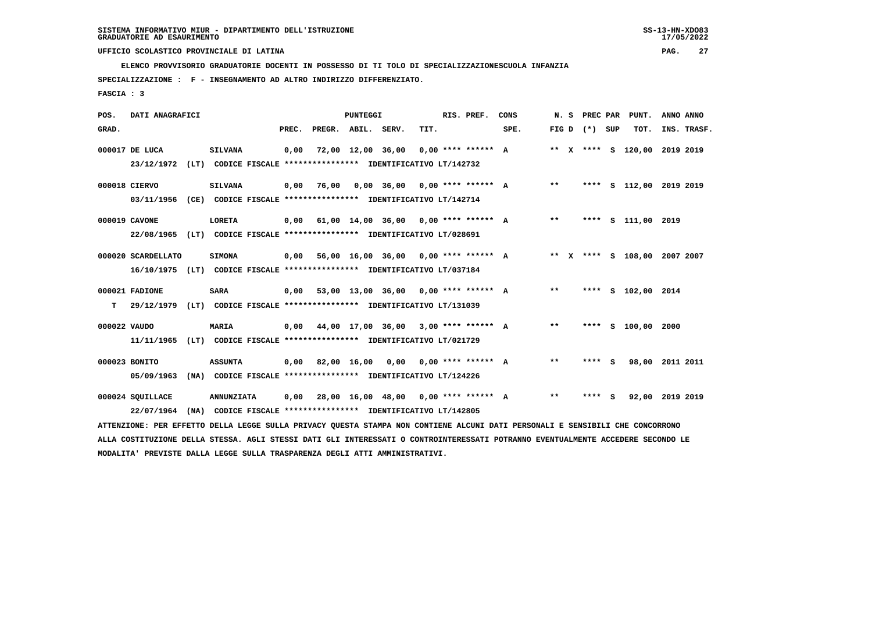**ELENCO PROVVISORIO GRADUATORIE DOCENTI IN POSSESSO DI TI TOLO DI SPECIALIZZAZIONESCUOLA INFANZIA**

 **SPECIALIZZAZIONE : F - INSEGNAMENTO AD ALTRO INDIRIZZO DIFFERENZIATO.**

 **FASCIA : 3**

| POS.         | DATI ANAGRAFICI                                                                                                               |      |                                                               |       |                    | PUNTEGGI |                                                          |      | RIS. PREF.           | CONS                                        | N.S   | PREC PAR          | PUNT.                        | ANNO ANNO |             |
|--------------|-------------------------------------------------------------------------------------------------------------------------------|------|---------------------------------------------------------------|-------|--------------------|----------|----------------------------------------------------------|------|----------------------|---------------------------------------------|-------|-------------------|------------------------------|-----------|-------------|
| GRAD.        |                                                                                                                               |      |                                                               | PREC. | PREGR. ABIL. SERV. |          |                                                          | TIT. |                      | SPE.                                        |       | FIG $D$ $(*)$ SUP | TOT.                         |           | INS. TRASF. |
|              | 000017 DE LUCA                                                                                                                |      | <b>SILVANA</b>                                                | 0,00  |                    |          | 72,00 12,00 36,00                                        |      | $0,00$ **** ****** A |                                             |       |                   | ** X **** S 120,00 2019 2019 |           |             |
|              | 23/12/1972 (LT) CODICE FISCALE *************** IDENTIFICATIVO LT/142732                                                       |      |                                                               |       |                    |          |                                                          |      |                      |                                             |       |                   |                              |           |             |
|              | 000018 CIERVO                                                                                                                 |      | <b>SILVANA</b>                                                | 0,00  | 76,00              |          | $0,00$ 36,00 0,00 **** ****** A                          |      |                      |                                             | $***$ |                   | **** S 112,00 2019 2019      |           |             |
|              | 03/11/1956                                                                                                                    |      | (CE) CODICE FISCALE *************** IDENTIFICATIVO LT/142714  |       |                    |          |                                                          |      |                      |                                             |       |                   |                              |           |             |
|              | 000019 CAVONE                                                                                                                 |      | <b>LORETA</b>                                                 | 0,00  |                    |          |                                                          |      |                      | 61,00 14,00 36,00 0,00 **** ****** A        | $***$ |                   | **** S 111,00 2019           |           |             |
|              | 22/08/1965                                                                                                                    |      | (LT) CODICE FISCALE **************** IDENTIFICATIVO LT/028691 |       |                    |          |                                                          |      |                      |                                             |       |                   |                              |           |             |
|              | 000020 SCARDELLATO                                                                                                            |      | <b>SIMONA</b>                                                 |       |                    |          |                                                          |      |                      | 0,00 56,00 16,00 36,00 0,00 **** ****** A   |       |                   | ** X **** S 108,00 2007 2007 |           |             |
|              | 16/10/1975 (LT) CODICE FISCALE *************** IDENTIFICATIVO LT/037184                                                       |      |                                                               |       |                    |          |                                                          |      |                      |                                             |       |                   |                              |           |             |
|              | 000021 FADIONE                                                                                                                |      | <b>SARA</b>                                                   |       |                    |          |                                                          |      |                      | 0,00 53,00 13,00 36,00 0,00 **** ****** A   | $***$ |                   | **** S 102,00 2014           |           |             |
| т            | 29/12/1979                                                                                                                    |      | (LT) CODICE FISCALE **************** IDENTIFICATIVO LT/131039 |       |                    |          |                                                          |      |                      |                                             |       |                   |                              |           |             |
| 000022 VAUDO |                                                                                                                               |      | <b>MARIA</b>                                                  |       |                    |          |                                                          |      |                      | $0,00$ 44,00 17,00 36,00 3,00 **** ****** A | $***$ |                   | **** S 100,00 2000           |           |             |
|              | 11/11/1965                                                                                                                    |      | (LT) CODICE FISCALE **************** IDENTIFICATIVO LT/021729 |       |                    |          |                                                          |      |                      |                                             |       |                   |                              |           |             |
|              | 000023 BONITO                                                                                                                 |      | <b>ASSUNTA</b>                                                |       |                    |          |                                                          |      |                      | 0,00 82,00 16,00 0,00 0,00 **** ****** A    | $**$  | **** S            | 98,00                        | 2011 2011 |             |
|              | 05/09/1963                                                                                                                    |      | (NA) CODICE FISCALE **************** IDENTIFICATIVO LT/124226 |       |                    |          |                                                          |      |                      |                                             |       |                   |                              |           |             |
|              | 000024 SQUILLACE                                                                                                              |      | <b>ANNUNZIATA</b>                                             | 0,00  |                    |          | 28,00 16,00 48,00 0,00 **** ****** A                     |      |                      |                                             | $***$ | **** S            | 92,00 2019 2019              |           |             |
|              | 22/07/1964                                                                                                                    | (NA) |                                                               |       |                    |          | CODICE FISCALE **************** IDENTIFICATIVO LT/142805 |      |                      |                                             |       |                   |                              |           |             |
|              | ATTENZIONE: PER EFFETTO DELLA LEGGE SULLA PRIVACY QUESTA STAMPA NON CONTIENE ALCUNI DATI PERSONALI E SENSIBILI CHE CONCORRONO |      |                                                               |       |                    |          |                                                          |      |                      |                                             |       |                   |                              |           |             |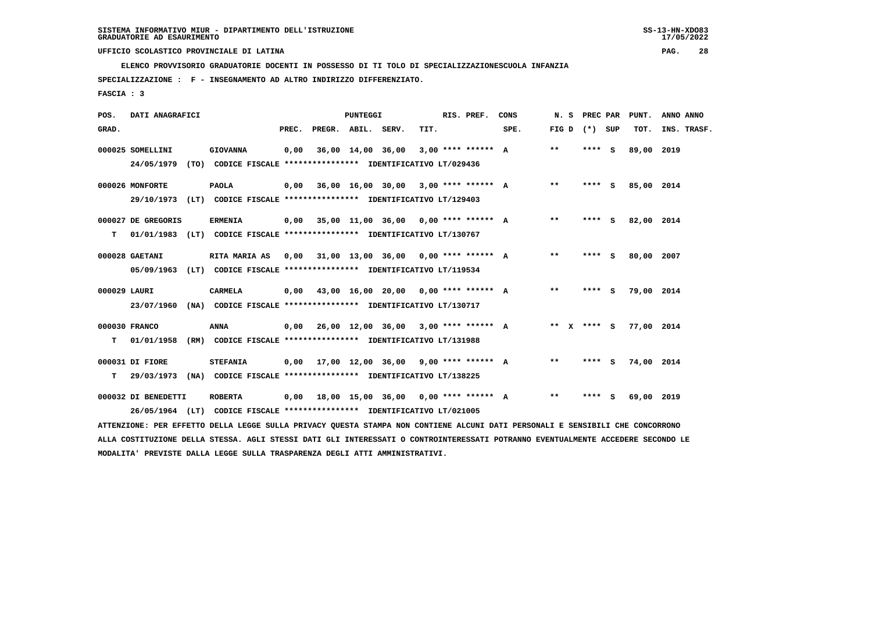**ELENCO PROVVISORIO GRADUATORIE DOCENTI IN POSSESSO DI TI TOLO DI SPECIALIZZAZIONESCUOLA INFANZIA**

 **SPECIALIZZAZIONE : F - INSEGNAMENTO AD ALTRO INDIRIZZO DIFFERENZIATO.**

 **FASCIA : 3**

| POS.         | DATI ANAGRAFICI     |                                                                                                                                                                                                         |       | <b>PUNTEGGI</b>    |                                             |      | RIS. PREF. | CONS                                        | N.S   | PREC PAR    | PUNT.      | ANNO ANNO   |
|--------------|---------------------|---------------------------------------------------------------------------------------------------------------------------------------------------------------------------------------------------------|-------|--------------------|---------------------------------------------|------|------------|---------------------------------------------|-------|-------------|------------|-------------|
| GRAD.        |                     |                                                                                                                                                                                                         | PREC. | PREGR. ABIL. SERV. |                                             | TIT. |            | SPE.                                        | FIG D | (*) SUP     | TOT.       | INS. TRASF. |
|              | 000025 SOMELLINI    | <b>GIOVANNA</b>                                                                                                                                                                                         | 0,00  |                    | 36,00 14,00 36,00 3,00 **** ****** A        |      |            |                                             | $***$ | $***$ S     | 89,00 2019 |             |
|              | 24/05/1979          | (TO) CODICE FISCALE **************** IDENTIFICATIVO LT/029436                                                                                                                                           |       |                    |                                             |      |            |                                             |       |             |            |             |
|              | 000026 MONFORTE     | <b>PAOLA</b>                                                                                                                                                                                            |       |                    | $0,00$ 36,00 16,00 30,00 3,00 **** ****** A |      |            |                                             | $***$ | **** S      | 85,00 2014 |             |
|              | 29/10/1973          | (LT) CODICE FISCALE **************** IDENTIFICATIVO LT/129403                                                                                                                                           |       |                    |                                             |      |            |                                             |       |             |            |             |
|              | 000027 DE GREGORIS  | <b>ERMENIA</b>                                                                                                                                                                                          |       |                    | $0,00$ 35,00 11,00 36,00 0,00 **** ****** A |      |            |                                             | $* *$ | **** S      | 82,00 2014 |             |
| т            | 01/01/1983          | (LT) CODICE FISCALE **************** IDENTIFICATIVO LT/130767                                                                                                                                           |       |                    |                                             |      |            |                                             |       |             |            |             |
|              | 000028 GAETANI      | RITA MARIA AS                                                                                                                                                                                           | 0,00  |                    | 31,00 13,00 36,00 0,00 **** ****** A        |      |            |                                             | $**$  | **** S      | 80,00 2007 |             |
|              | 05/09/1963          | (LT) CODICE FISCALE **************** IDENTIFICATIVO LT/119534                                                                                                                                           |       |                    |                                             |      |            |                                             |       |             |            |             |
|              |                     |                                                                                                                                                                                                         |       |                    |                                             |      |            |                                             |       |             |            |             |
| 000029 LAURI |                     | <b>CARMELA</b>                                                                                                                                                                                          |       |                    | $0,00$ 43,00 16,00 20,00 0,00 **** ****** A |      |            |                                             | $* *$ | **** S      | 79,00 2014 |             |
|              | 23/07/1960          | (NA) CODICE FISCALE **************** IDENTIFICATIVO LT/130717                                                                                                                                           |       |                    |                                             |      |            |                                             |       |             |            |             |
|              | 000030 FRANCO       | ANNA                                                                                                                                                                                                    |       |                    |                                             |      |            | $0,00$ 26,00 12,00 36,00 3,00 **** ****** A |       | ** x **** s | 77,00 2014 |             |
| т            | 01/01/1958          | (RM) CODICE FISCALE **************** IDENTIFICATIVO LT/131988                                                                                                                                           |       |                    |                                             |      |            |                                             |       |             |            |             |
|              | 000031 DI FIORE     | <b>STEFANIA</b>                                                                                                                                                                                         |       |                    |                                             |      |            | $0.00$ 17,00 12,00 36,00 9,00 **** ****** A | $***$ | $***$ S     | 74,00 2014 |             |
| т            | 29/03/1973          | (NA) CODICE FISCALE **************** IDENTIFICATIVO LT/138225                                                                                                                                           |       |                    |                                             |      |            |                                             |       |             |            |             |
|              |                     |                                                                                                                                                                                                         |       |                    |                                             |      |            |                                             |       |             |            |             |
|              | 000032 DI BENEDETTI | <b>ROBERTA</b>                                                                                                                                                                                          |       |                    | $0,00$ 18,00 15,00 36,00 0,00 **** ****** A |      |            |                                             | $***$ | **** S      | 69,00 2019 |             |
|              |                     | 26/05/1964 (LT) CODICE FISCALE *************** IDENTIFICATIVO LT/021005<br>PRINCEANS ARE PRESENTA AREIA ERACH AUELL ANTULAU AUGARA ARIUMA VAN AANREINI LEANIE ALRE APAGANILE I ARVAENTE AUG AANAANANANA |       |                    |                                             |      |            |                                             |       |             |            |             |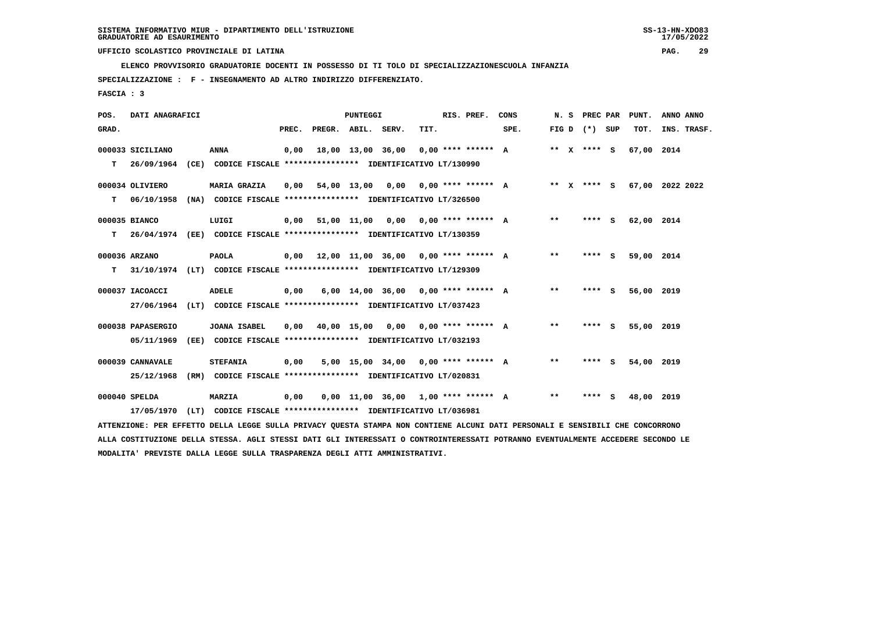**ELENCO PROVVISORIO GRADUATORIE DOCENTI IN POSSESSO DI TI TOLO DI SPECIALIZZAZIONESCUOLA INFANZIA**

 **SPECIALIZZAZIONE : F - INSEGNAMENTO AD ALTRO INDIRIZZO DIFFERENZIATO.**

 **FASCIA : 3**

| POS.  | DATI ANAGRAFICI   |                                                                                                                               |       |                    | <b>PUNTEGGI</b> |                                             |      | RIS. PREF.           | CONS |                            | N. S PREC PAR     | PUNT.           | ANNO ANNO |             |
|-------|-------------------|-------------------------------------------------------------------------------------------------------------------------------|-------|--------------------|-----------------|---------------------------------------------|------|----------------------|------|----------------------------|-------------------|-----------------|-----------|-------------|
| GRAD. |                   |                                                                                                                               | PREC. | PREGR. ABIL. SERV. |                 |                                             | TIT. |                      | SPE. |                            | FIG $D$ $(*)$ SUP | тот.            |           | INS. TRASF. |
|       | 000033 SICILIANO  | <b>ANNA</b>                                                                                                                   | 0,00  |                    |                 | 18,00 13,00 36,00                           |      | $0.00$ **** ****** A |      |                            | ** $X$ **** S     | 67,00 2014      |           |             |
| T.    | 26/09/1964        | (CE) CODICE FISCALE **************** IDENTIFICATIVO LT/130990                                                                 |       |                    |                 |                                             |      |                      |      |                            |                   |                 |           |             |
|       | 000034 OLIVIERO   | <b>MARIA GRAZIA</b>                                                                                                           | 0,00  |                    |                 | 54,00 13,00 0,00 0,00 **** ****** A         |      |                      |      |                            | ** x **** S       | 67,00 2022 2022 |           |             |
| т     | 06/10/1958        | (NA) CODICE FISCALE **************** IDENTIFICATIVO LT/326500                                                                 |       |                    |                 |                                             |      |                      |      |                            |                   |                 |           |             |
|       | 000035 BIANCO     | LUIGI                                                                                                                         |       | $0,00$ 51,00 11,00 |                 |                                             |      |                      |      | **                         | **** S            | 62,00 2014      |           |             |
| T.    | 26/04/1974        | (EE) CODICE FISCALE **************** IDENTIFICATIVO LT/130359                                                                 |       |                    |                 |                                             |      |                      |      |                            |                   |                 |           |             |
|       | 000036 ARZANO     | <b>PAOLA</b>                                                                                                                  |       |                    |                 | $0,00$ 12,00 11,00 36,00 0,00 **** ****** A |      |                      |      | **                         | **** S            | 59,00 2014      |           |             |
| т     |                   | 31/10/1974 (LT) CODICE FISCALE **************** IDENTIFICATIVO LT/129309                                                      |       |                    |                 |                                             |      |                      |      |                            |                   |                 |           |             |
|       | 000037 IACOACCI   | <b>ADELE</b>                                                                                                                  | 0,00  |                    |                 | $6,00$ 14,00 36,00 0,00 **** ****** A       |      |                      |      | $***$                      | **** S            | 56,00 2019      |           |             |
|       | 27/06/1964        | (LT) CODICE FISCALE **************** IDENTIFICATIVO LT/037423                                                                 |       |                    |                 |                                             |      |                      |      |                            |                   |                 |           |             |
|       | 000038 PAPASERGIO | <b>JOANA ISABEL</b>                                                                                                           | 0,00  |                    | 40,00 15,00     | 0,00 0,00 **** ****** A                     |      |                      |      | $**$                       | **** S            | 55,00 2019      |           |             |
|       | 05/11/1969        | (EE) CODICE FISCALE **************** IDENTIFICATIVO LT/032193                                                                 |       |                    |                 |                                             |      |                      |      |                            |                   |                 |           |             |
|       | 000039 CANNAVALE  | <b>STEFANIA</b>                                                                                                               | 0,00  |                    |                 | $5,00$ 15,00 34,00 0,00 **** ****** A       |      |                      |      | $***$                      | **** S            | 54,00 2019      |           |             |
|       | 25/12/1968        | (RM) CODICE FISCALE **************** IDENTIFICATIVO LT/020831                                                                 |       |                    |                 |                                             |      |                      |      |                            |                   |                 |           |             |
|       | 000040 SPELDA     | <b>MARZIA</b>                                                                                                                 | 0,00  |                    |                 | $0.00$ 11.00 36.00 1.00 **** ****** A       |      |                      |      | $\pmb{\times}\pmb{\times}$ | **** S            | 48,00           | 2019      |             |
|       | 17/05/1970        | (LT) CODICE FISCALE **************** IDENTIFICATIVO LT/036981                                                                 |       |                    |                 |                                             |      |                      |      |                            |                   |                 |           |             |
|       |                   | ATTENZIONE: PER EFFETTO DELLA LEGGE SULLA PRIVACY QUESTA STAMPA NON CONTIENE ALCUNI DATI PERSONALI E SENSIBILI CHE CONCORRONO |       |                    |                 |                                             |      |                      |      |                            |                   |                 |           |             |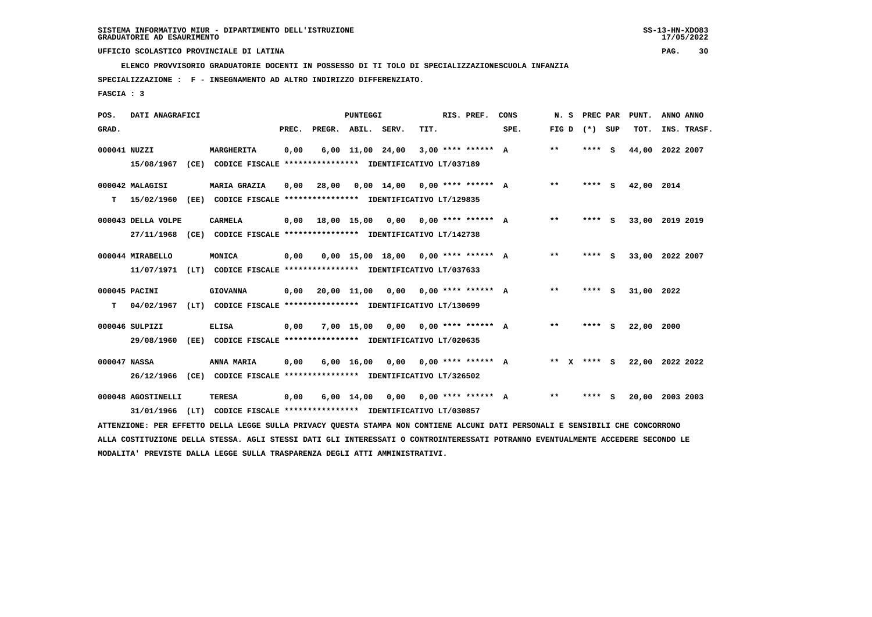**ELENCO PROVVISORIO GRADUATORIE DOCENTI IN POSSESSO DI TI TOLO DI SPECIALIZZAZIONESCUOLA INFANZIA**

 **SPECIALIZZAZIONE : F - INSEGNAMENTO AD ALTRO INDIRIZZO DIFFERENZIATO.**

 **FASCIA : 3**

| POS.         | DATI ANAGRAFICI    |      |                                                                                                                               |       |        | PUNTEGGI           |                                       |      | RIS. PREF.                       | CONS | N. S    | PREC PAR |     | PUNT.           | ANNO ANNO |             |
|--------------|--------------------|------|-------------------------------------------------------------------------------------------------------------------------------|-------|--------|--------------------|---------------------------------------|------|----------------------------------|------|---------|----------|-----|-----------------|-----------|-------------|
| GRAD.        |                    |      |                                                                                                                               | PREC. | PREGR. | ABIL.              | SERV.                                 | TIT. |                                  | SPE. | FIG D   | $(*)$    | SUP | TOT.            |           | INS. TRASF. |
| 000041 NUZZI |                    |      | MARGHERITA                                                                                                                    | 0,00  |        | $6,00$ 11,00 24,00 |                                       |      | $3,00$ **** ****** A             |      | $***$   | **** S   |     | 44,00           | 2022 2007 |             |
|              | 15/08/1967         | (CE) | CODICE FISCALE **************** IDENTIFICATIVO LT/037189                                                                      |       |        |                    |                                       |      |                                  |      |         |          |     |                 |           |             |
|              | 000042 MALAGISI    |      | <b>MARIA GRAZIA</b>                                                                                                           | 0,00  | 28,00  |                    | $0,00$ 14,00 0,00 **** ****** A       |      |                                  |      | $* *$   | **** S   |     | 42,00           | 2014      |             |
| т            | 15/02/1960         | (EE) | CODICE FISCALE **************** IDENTIFICATIVO LT/129835                                                                      |       |        |                    |                                       |      |                                  |      |         |          |     |                 |           |             |
|              | 000043 DELLA VOLPE |      | <b>CARMELA</b>                                                                                                                | 0,00  |        | 18,00 15,00        | 0,00                                  |      | $0.00$ **** ****** A             |      | $* *$   | **** S   |     | 33,00           | 2019 2019 |             |
|              | 27/11/1968         | (CE) | CODICE FISCALE **************** IDENTIFICATIVO LT/142738                                                                      |       |        |                    |                                       |      |                                  |      |         |          |     |                 |           |             |
|              | 000044 MIRABELLO   |      | MONICA                                                                                                                        | 0,00  |        |                    | $0,00$ 15,00 18,00 0,00 **** ****** A |      |                                  |      | $* *$   | **** S   |     | 33,00 2022 2007 |           |             |
|              | 11/07/1971         | (LT) | CODICE FISCALE **************** IDENTIFICATIVO LT/037633                                                                      |       |        |                    |                                       |      |                                  |      |         |          |     |                 |           |             |
|              | 000045 PACINI      |      | <b>GIOVANNA</b>                                                                                                               | 0,00  |        | 20,00 11,00        | 0,00                                  |      | $0.00$ **** ****** A             |      | $***$   | **** S   |     | 31,00 2022      |           |             |
| т            | 04/02/1967         |      | (LT) CODICE FISCALE **************** IDENTIFICATIVO LT/130699                                                                 |       |        |                    |                                       |      |                                  |      |         |          |     |                 |           |             |
|              | 000046 SULPIZI     |      | <b>ELISA</b>                                                                                                                  | 0,00  |        | $7,00$ 15,00       |                                       |      | $0.00$ $0.00$ $***$ **** ***** A |      | **      | **** S   |     | 22,00           | 2000      |             |
|              | 29/08/1960         |      | (EE) CODICE FISCALE **************** IDENTIFICATIVO LT/020635                                                                 |       |        |                    |                                       |      |                                  |      |         |          |     |                 |           |             |
| 000047 NASSA |                    |      | ANNA MARIA                                                                                                                    | 0,00  |        | 6,00 16,00         |                                       |      | $0,00$ $0,00$ **** ****** A      |      | $***$ X | **** S   |     | 22,00 2022 2022 |           |             |
|              | 26/12/1966         |      | (CE) CODICE FISCALE **************** IDENTIFICATIVO LT/326502                                                                 |       |        |                    |                                       |      |                                  |      |         |          |     |                 |           |             |
|              | 000048 AGOSTINELLI |      | <b>TERESA</b>                                                                                                                 | 0,00  |        | 6,00 14,00         |                                       |      | $0,00$ $0,00$ **** ****** A      |      | $***$   | ****     | - S | 20,00 2003 2003 |           |             |
|              | 31/01/1966         | (LT) | CODICE FISCALE **************** IDENTIFICATIVO LT/030857                                                                      |       |        |                    |                                       |      |                                  |      |         |          |     |                 |           |             |
|              |                    |      | ATTENZIONE: PER EFFETTO DELLA LEGGE SULLA PRIVACY QUESTA STAMPA NON CONTIENE ALCUNI DATI PERSONALI E SENSIBILI CHE CONCORRONO |       |        |                    |                                       |      |                                  |      |         |          |     |                 |           |             |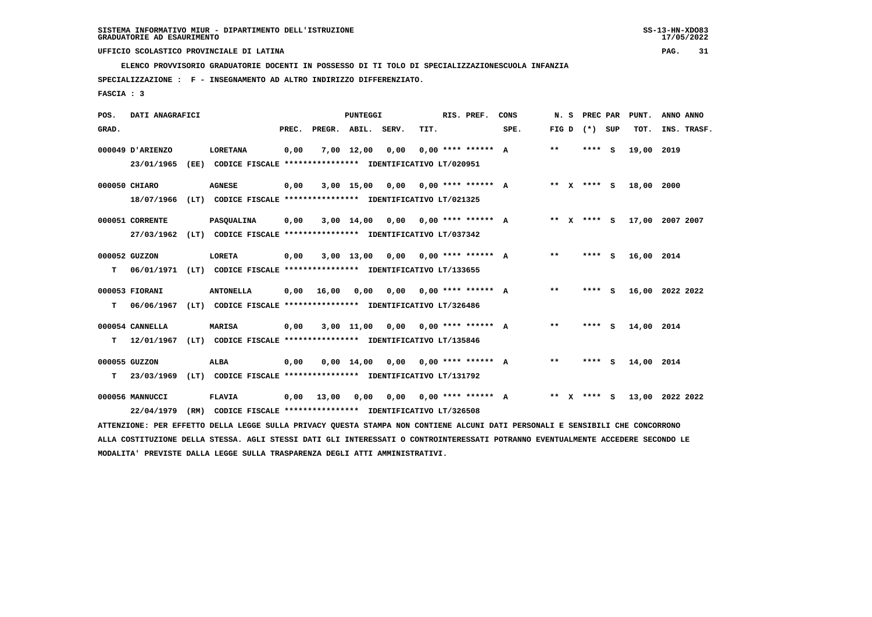**ELENCO PROVVISORIO GRADUATORIE DOCENTI IN POSSESSO DI TI TOLO DI SPECIALIZZAZIONESCUOLA INFANZIA**

 **SPECIALIZZAZIONE : F - INSEGNAMENTO AD ALTRO INDIRIZZO DIFFERENZIATO.**

 **FASCIA : 3**

| POS.  | DATI ANAGRAFICI  |                                                                                                                                 |       |              | PUNTEGGI   |                                      |      | RIS. PREF.           | CONS | N. S  | <b>PREC PAR</b> |     | PUNT.      | ANNO ANNO       |
|-------|------------------|---------------------------------------------------------------------------------------------------------------------------------|-------|--------------|------------|--------------------------------------|------|----------------------|------|-------|-----------------|-----|------------|-----------------|
| GRAD. |                  |                                                                                                                                 | PREC. | PREGR. ABIL. |            | SERV.                                | TIT. |                      | SPE. | FIG D | $(*)$           | SUP | TOT.       | INS. TRASF.     |
|       | 000049 D'ARIENZO | <b>LORETANA</b>                                                                                                                 | 0,00  |              | 7,00 12,00 | 0,00                                 |      | $0,00$ **** ****** A |      | **    | **** S          |     | 19,00      | 2019            |
|       | 23/01/1965       | (EE) CODICE FISCALE **************** IDENTIFICATIVO LT/020951                                                                   |       |              |            |                                      |      |                      |      |       |                 |     |            |                 |
|       | 000050 CHIARO    | <b>AGNESE</b>                                                                                                                   | 0,00  |              | 3,00 15,00 | 0,00                                 |      | 0,00 **** ****** A   |      |       | ** x **** s     |     | 18,00 2000 |                 |
|       | 18/07/1966       | (LT) CODICE FISCALE **************** IDENTIFICATIVO LT/021325                                                                   |       |              |            |                                      |      |                      |      |       |                 |     |            |                 |
|       | 000051 CORRENTE  | <b>PASQUALINA</b>                                                                                                               | 0,00  |              | 3,00 14,00 | 0,00                                 |      | 0,00 **** ****** A   |      |       | ** x **** s     |     |            | 17,00 2007 2007 |
|       | 27/03/1962       | (LT) CODICE FISCALE **************** IDENTIFICATIVO LT/037342                                                                   |       |              |            |                                      |      |                      |      |       |                 |     |            |                 |
|       | 000052 GUZZON    | LORETA                                                                                                                          | 0,00  |              | 3,00 13,00 | 0,00                                 |      | 0,00 **** ****** A   |      | $**$  | **** S          |     | 16,00 2014 |                 |
| т     | 06/01/1971       | (LT) CODICE FISCALE **************** IDENTIFICATIVO LT/133655                                                                   |       |              |            |                                      |      |                      |      |       |                 |     |            |                 |
|       | 000053 FIORANI   | <b>ANTONELLA</b>                                                                                                                | 0,00  | 16,00        | 0,00       | 0,00                                 |      | 0,00 **** ****** A   |      | $***$ | **** S          |     |            | 16,00 2022 2022 |
| т     | 06/06/1967       | (LT) CODICE FISCALE **************** IDENTIFICATIVO LT/326486                                                                   |       |              |            |                                      |      |                      |      |       |                 |     |            |                 |
|       | 000054 CANNELLA  | MARISA                                                                                                                          | 0,00  |              |            | $3,00$ 11,00 0,00 0,00 **** ****** A |      |                      |      | $***$ | **** S          |     | 14,00 2014 |                 |
| т     | 12/01/1967       | (LT) CODICE FISCALE **************** IDENTIFICATIVO LT/135846                                                                   |       |              |            |                                      |      |                      |      |       |                 |     |            |                 |
|       | 000055 GUZZON    | ALBA                                                                                                                            | 0,00  |              |            | $0,00$ 14,00 0,00 0,00 **** ****** A |      |                      |      | $***$ | **** S          |     | 14,00 2014 |                 |
| т     | 23/03/1969       | (LT) CODICE FISCALE **************** IDENTIFICATIVO LT/131792                                                                   |       |              |            |                                      |      |                      |      |       |                 |     |            |                 |
|       | 000056 MANNUCCI  | <b>FLAVIA</b>                                                                                                                   | 0,00  | 13,00        | 0,00       | 0,00                                 |      | 0,00 **** ****** A   |      |       | ** X **** S     |     |            | 13,00 2022 2022 |
|       | 22/04/1979       | (RM) CODICE FISCALE **************** IDENTIFICATIVO LT/326508                                                                   |       |              |            |                                      |      |                      |      |       |                 |     |            |                 |
|       |                  | ATTENZIONE: PER EFFETTO DELLA LEGGE SULLA PRIVACY QUESTA STAMPA NON CONTIENE ALCUNI DATI PERSONALI E SENSIBILI CHE CONCORRONO   |       |              |            |                                      |      |                      |      |       |                 |     |            |                 |
|       |                  | ALLA COSTITUZIONE DELLA STESSA. AGLI STESSI DATI GLI INTERESSATI O CONTROINTERESSATI POTRANNO EVENTUALMENTE ACCEDERE SECONDO LE |       |              |            |                                      |      |                      |      |       |                 |     |            |                 |

 **MODALITA' PREVISTE DALLA LEGGE SULLA TRASPARENZA DEGLI ATTI AMMINISTRATIVI.**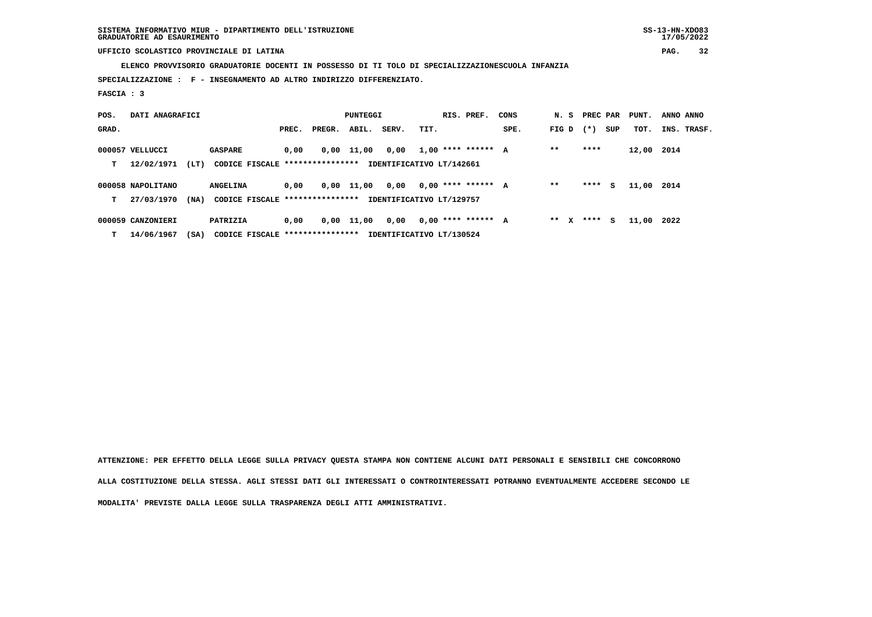**SISTEMA INFORMATIVO MIUR - DIPARTIMENTO DELL'ISTRUZIONE SS-13-HN-XDO83 GRADUATORIE AD ESAURIMENTO 17/05/2022**

## **UFFICIO SCOLASTICO PROVINCIALE DI LATINA PAG. 32**

 **ELENCO PROVVISORIO GRADUATORIE DOCENTI IN POSSESSO DI TI TOLO DI SPECIALIZZAZIONESCUOLA INFANZIA**

 **SPECIALIZZAZIONE : F - INSEGNAMENTO AD ALTRO INDIRIZZO DIFFERENZIATO.**

 **FASCIA : 3**

| POS.  | DATI ANAGRAFICI   |      |                                  |       |        | PUNTEGGI   |                          |      | RIS. PREF.           | CONS | N. S    |        | PREC PAR | PUNT.      | ANNO ANNO   |  |
|-------|-------------------|------|----------------------------------|-------|--------|------------|--------------------------|------|----------------------|------|---------|--------|----------|------------|-------------|--|
| GRAD. |                   |      |                                  | PREC. | PREGR. | ABIL.      | SERV.                    | TIT. |                      | SPE. | FIG D   | $(* )$ | SUP      | TOT.       | INS. TRASF. |  |
|       | 000057 VELLUCCI   |      | <b>GASPARE</b>                   | 0,00  |        | 0,00 11,00 | 0,00                     |      | $1.00$ **** ****** A |      | $* *$   | ****   |          | 12,00 2014 |             |  |
| т     | 12/02/1971        | (LT) | CODICE FISCALE ****************  |       |        |            | IDENTIFICATIVO LT/142661 |      |                      |      |         |        |          |            |             |  |
|       | 000058 NAPOLITANO |      | <b>ANGELINA</b>                  | 0,00  | 0,00   | 11,00      | 0,00                     |      | $0.00$ **** ****** A |      | $* *$   | ****   | s        | 11,00      | 2014        |  |
| т     | 27/03/1970        | (NA) | CODICE FISCALE ****************  |       |        |            | IDENTIFICATIVO LT/129757 |      |                      |      |         |        |          |            |             |  |
|       | 000059 CANZONIERI |      | PATRIZIA                         | 0,00  |        | 0,00 11,00 | 0,00                     |      | $0,00$ **** ****** A |      | $***$ X | ****   | s        | 11,00      | 2022        |  |
| т     | 14/06/1967        | (SA) | CODICE FISCALE ***************** |       |        |            | IDENTIFICATIVO LT/130524 |      |                      |      |         |        |          |            |             |  |